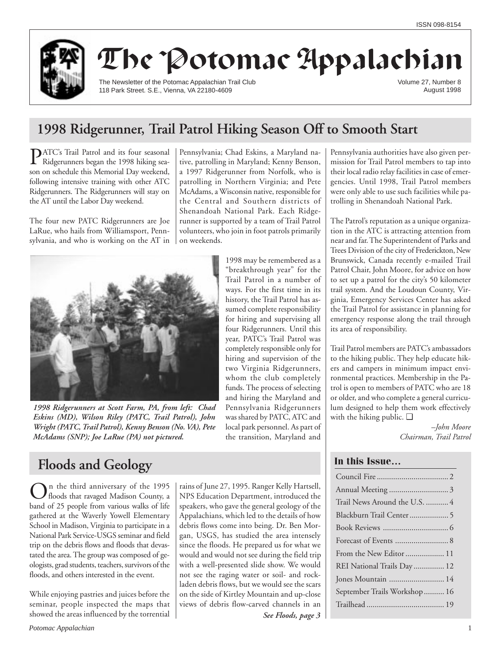

# The Potomac Appalachian

The Newsletter of the Potomac Appalachian Trail Club 118 Park Street. S.E., Vienna, VA 22180-4609

Volume 27, Number 8 August 1998

## **1998 Ridgerunner, Trail Patrol Hiking Season Off to Smooth Start**

**PATC's Trail Patrol and its four seasonal** Ridgerunners began the 1998 hiking season on schedule this Memorial Day weekend, following intensive training with other ATC Ridgerunners. The Ridgerunners will stay on the AT until the Labor Day weekend.

The four new PATC Ridgerunners are Joe LaRue, who hails from Williamsport, Pennsylvania, and who is working on the AT in

Pennsylvania; Chad Eskins, a Maryland native, patrolling in Maryland; Kenny Benson, a 1997 Ridgerunner from Norfolk, who is patrolling in Northern Virginia; and Pete McAdams, a Wisconsin native, responsible for the Central and Southern districts of Shenandoah National Park. Each Ridgerunner is supported by a team of Trail Patrol volunteers, who join in foot patrols primarily on weekends.

> 1998 may be remembered as a "breakthrough year" for the Trail Patrol in a number of ways. For the first time in its history, the Trail Patrol has assumed complete responsibility for hiring and supervising all four Ridgerunners. Until this year, PATC's Trail Patrol was completely responsible only for hiring and supervision of the two Virginia Ridgerunners, whom the club completely funds. The process of selecting and hiring the Maryland and Pennsylvania Ridgerunners was shared by PATC, ATC and local park personnel. As part of the transition, Maryland and



*1998 Ridgerunners at Scott Farm, PA, from left: Chad Eskins (MD), Wilson Riley (PATC, Trail Patrol), John Wright (PATC, Trail Patrol), Kenny Benson (No. VA), Pete McAdams (SNP); Joe LaRue (PA) not pictured.*

## **Floods and Geology**

On the third anniversary of the 1995<br>floods that ravaged Madison County, a band of 25 people from various walks of life gathered at the Waverly Yowell Elementary School in Madison, Virginia to participate in a National Park Service-USGS seminar and field trip on the debris flows and floods that devastated the area. The group was composed of geologists, grad students, teachers, survivors of the floods, and others interested in the event.

While enjoying pastries and juices before the seminar, people inspected the maps that showed the areas influenced by the torrential rains of June 27, 1995. Ranger Kelly Hartsell, NPS Education Department, introduced the speakers, who gave the general geology of the Appalachians, which led to the details of how debris flows come into being. Dr. Ben Morgan, USGS, has studied the area intensely since the floods. He prepared us for what we would and would not see during the field trip with a well-presented slide show. We would not see the raging water or soil- and rockladen debris flows, but we would see the scars on the side of Kirtley Mountain and up-close views of debris flow-carved channels in an

*See Floods, page 3*

Pennsylvania authorities have also given permission for Trail Patrol members to tap into their local radio relay facilities in case of emergencies. Until 1998, Trail Patrol members were only able to use such facilities while patrolling in Shenandoah National Park.

The Patrol's reputation as a unique organization in the ATC is attracting attention from near and far. The Superintendent of Parks and Trees Division of the city of Frederickton, New Brunswick, Canada recently e-mailed Trail Patrol Chair, John Moore, for advice on how to set up a patrol for the city's 50 kilometer trail system. And the Loudoun County, Virginia, Emergency Services Center has asked the Trail Patrol for assistance in planning for emergency response along the trail through its area of responsibility.

Trail Patrol members are PATC's ambassadors to the hiking public. They help educate hikers and campers in minimum impact environmental practices. Membership in the Patrol is open to members of PATC who are 18 or older, and who complete a general curriculum designed to help them work effectively with the hiking public. ❑

> *–John Moore Chairman, Trail Patrol*

## **In this Issue…**

| Trail News Around the U.S.  4 |
|-------------------------------|
|                               |
|                               |
| Forecast of Events  8         |
| From the New Editor  11       |
| REI National Trails Day  12   |
| Jones Mountain  14            |
| September Trails Workshop 16  |
|                               |
|                               |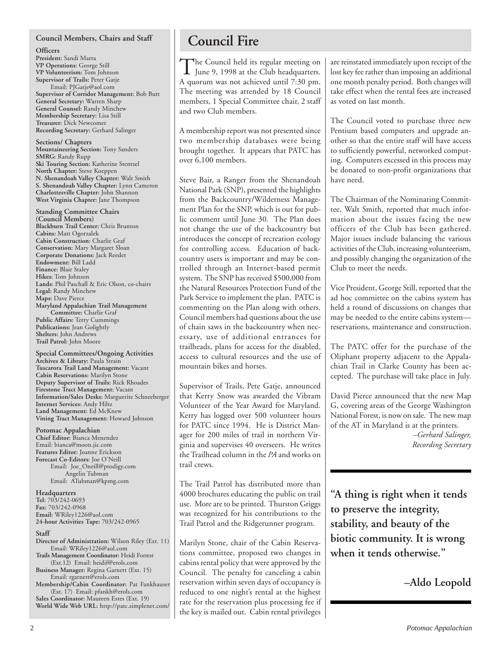## **Council Members, Chairs and Staff**

**Officers**

**President:** Sandi Marra **VP Operations:** George Still **VP Volunteerism:** Tom Johnson **Supervisor of Trails:** Peter Gatje Email: PJGatje@aol.com **Supervisor of Corridor Management:** Bob Butt **General Secretary:** Warren Sharp **General Counsel:** Randy Minchew **Membership Secretary:** Lisa Still **Treasurer:** Dick Newcomer **Recording Secretary:** Gerhard Salinger

**Sections/ Chapters Mountaineering Section:** Tony Sanders **SMRG:** Randy Rupp **Ski Touring Section:** Katherine Stentzel **North Chapter:** Steve Koeppen **N. Shenandoah Valley Chapter:** Walt Smith **S. Shenandoah Valley Chapter:** Lynn Cameron **Charlottesville Chapter:** John Shannon **West Virginia Chapter:** Jane Thompson

**Standing Committee Chairs (Council Members) Blackburn Trail Center:** Chris Brunton **Cabins:** Matt Ogorzalek **Cabin Construction:** Charlie Graf **Conservation:** Mary Margaret Sloan **Corporate Donations:** Jack Reeder **Endowment:** Bill Ladd **Finance:** Blair Staley **Hikes:** Tom Johnson **Lands:** Phil Paschall & Eric Olson, co-chairs **Legal:** Randy Minchew **Maps:** Dave Pierce **Maryland Appalachian Trail Management Committee:** Charlie Graf **Public Affairs:** Terry Cummings **Publications:** Jean Golightly **Shelters:** John Andrews **Trail Patrol:** John Moore

**Special Committees/Ongoing Activities Archives & Library:** Paula Strain **Tuscarora Trail Land Management:** Vacant **Cabin Reservations:** Marilyn Stone **Deputy Supervisor of Trails:** Rick Rhoades **Firestone Tract Management:** Vacant **Information/Sales Desks:** Marguerite Schneeberger **Internet Services:** Andy Hiltz **Land Management:** Ed McKnew **Vining Tract Management:** Howard Johnson

## **Potomac Appalachian**

**Chief Editor:** Bianca Menendez Email: bianca@moon.jic.com **Features Editor:** Joanne Erickson **Forecast Co-Editors:** Joe O'Neill Email: Joe\_Oneill@prodigy.com Angelin Tubman Email: ATubman@kpmg.com

### **Headquarters**

**Tel:** 703/242-0693 **Fax:** 703/242-0968 **Email:** WRiley1226@aol.com **24-hour Activities Tape:** 703/242-0965

### **Staff**

- **Director of Administration:** Wilson Riley (Ext. 11) Email: WRiley1226@aol.com
- **Trails Management Coordinator:** Heidi Forrest (Ext.12) Email: heidif@erols.com **Business Manager:** Regina Garnett (Ext. 15)

Email: rgarnett@erols.com **Membership/Cabin Coordinator:** Pat Fankhauser

(Ext. 17) Email: pfankh@erols.com **Sales Coordinator:** Maureen Estes (Ext. 19) **World Wide Web URL:** http://patc.simplenet.com/

## **Council Fire**

The Council held its regular meeting on<br>June 9, 1998 at the Club headquarters. A quorum was not achieved until 7:30 pm. The meeting was attended by 18 Council members, 1 Special Committee chair, 2 staff and two Club members.

A membership report was not presented since two membership databases were being brought together. It appears that PATC has over 6,100 members.

Steve Bair, a Ranger from the Shenandoah National Park (SNP), presented the highlights from the Backcountry/Wilderness Management Plan for the SNP, which is out for public comment until June 30. The Plan does not change the use of the backcountry but introduces the concept of recreation ecology for controlling access. Education of backcountry users is important and may be controlled through an Internet-based permit system. The SNP has received \$500,000 from the Natural Resources Protection Fund of the Park Service to implement the plan. PATC is commenting on the Plan along with others. Council members had questions about the use of chain saws in the backcountry when necessary, use of additional entrances for trailheads, plans for access for the disabled, access to cultural resources and the use of mountain bikes and horses.

Supervisor of Trails, Pete Gatje, announced that Kerry Snow was awarded the Vibram Volunteer of the Year Award for Maryland. Kerry has logged over 500 volunteer hours for PATC since 1994. He is District Manager for 200 miles of trail in northern Virginia and supervises 40 overseers. He writes the Trailhead column in the *PA* and works on trail crews.

The Trail Patrol has distributed more than 4000 brochures educating the public on trail use. More are to be printed. Thurston Griggs was recognized for his contributions to the Trail Patrol and the Ridgerunner program.

Marilyn Stone, chair of the Cabin Reservations committee, proposed two changes in cabins rental policy that were approved by the Council. The penalty for canceling a cabin reservation within seven days of occupancy is reduced to one night's rental at the highest rate for the reservation plus processing fee if the key is mailed out. Cabin rental privileges are reinstated immediately upon receipt of the lost key fee rather than imposing an additional one month penalty period. Both changes will take effect when the rental fees are increased as voted on last month.

The Council voted to purchase three new Pentium based computers and upgrade another so that the entire staff will have access to sufficiently powerful, networked computing. Computers excessed in this process may be donated to non-profit organizations that have need.

The Chairman of the Nominating Committee, Walt Smith, reported that much information about the issues facing the new officers of the Club has been gathered. Major issues include balancing the various activities of the Club, increasing volunteerism, and possibly changing the organization of the Club to meet the needs.

Vice President, George Still, reported that the ad hoc committee on the cabins system has held a round of discussions on changes that may be needed to the entire cabins system reservations, maintenance and construction.

The PATC offer for the purchase of the Oliphant property adjacent to the Appalachian Trail in Clarke County has been accepted. The purchase will take place in July.

David Pierce announced that the new Map G, covering areas of the George Washington National Forest, is now on sale. The new map of the AT in Maryland is at the printers.

> *–Gerhard Salinger, Recording Secretary*

**"A thing is right when it tends to preserve the integrity, stability, and beauty of the biotic community. It is wrong when it tends otherwise."**

## **–Aldo Leopold**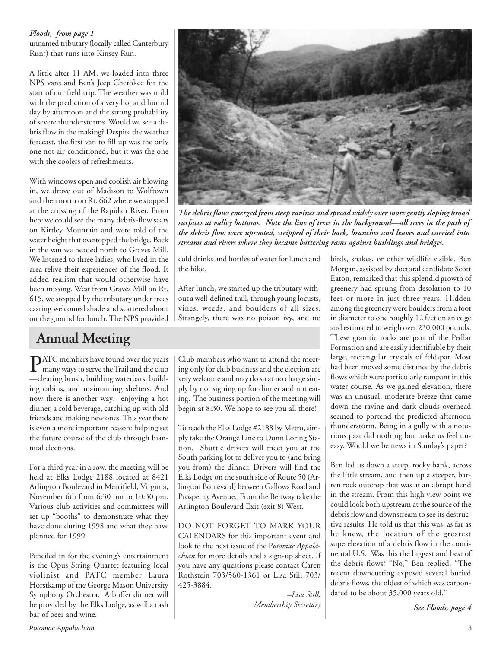## *Floods, from page 1*

unnamed tributary (locally called Canterbury Run?) that runs into Kinsey Run.

A little after 11 AM, we loaded into three NPS vans and Ben's Jeep Cherokee for the start of our field trip. The weather was mild with the prediction of a very hot and humid day by afternoon and the strong probability of severe thunderstorms. Would we see a debris flow in the making? Despite the weather forecast, the first van to fill up was the only one not air-conditioned, but it was the one with the coolers of refreshments.

With windows open and coolish air blowing in, we drove out of Madison to Wolftown and then north on Rt. 662 where we stopped at the crossing of the Rapidan River. From here we could see the many debris-flow scars on Kirtley Mountain and were told of the water height that overtopped the bridge. Back in the van we headed north to Graves Mill. We listened to three ladies, who lived in the area relive their experiences of the flood. It added realism that would otherwise have been missing. West from Graves Mill on Rt. 615, we stopped by the tributary under trees casting welcomed shade and scattered about on the ground for lunch. The NPS provided

## **Annual Meeting**

**PATC** members have found over the years<br>many ways to serve the Trail and the club —clearing brush, building waterbars, building cabins, and maintaining shelters. And now there is another way: enjoying a hot dinner, a cold beverage, catching up with old friends and making new ones. This year there is even a more important reason: helping set the future course of the club through biannual elections.

For a third year in a row, the meeting will be held at Elks Lodge 2188 located at 8421 Arlington Boulevard in Merrifield, Virginia, November 6th from 6:30 pm to 10:30 pm. Various club activities and committees will set up "booths" to demonstrate what they have done during 1998 and what they have planned for 1999.

Penciled in for the evening's entertainment is the Opus String Quartet featuring local violinist and PATC member Laura Horstkamp of the George Mason University Symphony Orchestra. A buffet dinner will be provided by the Elks Lodge, as will a cash bar of beer and wine.

Club members who want to attend the meeting only for club business and the election are very welcome and may do so at no charge simply by not signing up for dinner and not eating. The business portion of the meeting will begin at 8:30. We hope to see you all there!

To reach the Elks Lodge #2188 by Metro, simply take the Orange Line to Dunn Loring Station. Shuttle drivers will meet you at the South parking lot to deliver you to (and bring you from) the dinner. Drivers will find the Elks Lodge on the south side of Route 50 (Arlington Boulevard) between Gallows Road and Prosperity Avenue. From the Beltway take the Arlington Boulevard Exit (exit 8) West.

DO NOT FORGET TO MARK YOUR CALENDARS for this important event and look to the next issue of the P*otomac Appalachian* for more details and a sign-up sheet. If you have any questions please contact Caren Rothstein 703/560-1361 or Lisa Still 703/ 425-3884.

> *–Lisa Still, Membership Secretary*

birds, snakes, or other wildlife visible. Ben Morgan, assisted by doctoral candidate Scott Eaton, remarked that this splendid growth of greenery had sprung from desolation to 10 feet or more in just three years. Hidden among the greenery were boulders from a foot in diameter to one roughly 12 feet on an edge and estimated to weigh over 230,000 pounds. These granitic rocks are part of the Pedlar Formation and are easily identifiable by their large, rectangular crystals of feldspar. Most had been moved some distance by the debris flows which were particularly rampant in this water course. As we gained elevation, there was an unusual, moderate breeze that came down the ravine and dark clouds overhead seemed to portend the predicted afternoon thunderstorm. Being in a gully with a notorious past did nothing but make us feel uneasy. Would we be news in Sunday's paper?

Ben led us down a steep, rocky bank, across the little stream, and then up a steeper, barren rock outcrop that was at an abrupt bend in the stream. From this high view point we could look both upstream at the source of the debris flow and downstream to see its destructive results. He told us that this was, as far as he knew, the location of the greatest superelevation of a debris flow in the continental U.S. Was this the biggest and best of the debris flows? "No," Ben replied. "The recent downcutting exposed several buried debris flows, the oldest of which was carbondated to be about 35,000 years old."

*See Floods, page 4*



*The debris flows emerged from steep ravines and spread widely over more gently sloping broad surfaces at valley bottoms. Note the line of trees in the background—all trees in the path of the debris flow were uprooted, stripped of their bark, branches and leaves and carried into streams and rivers where they became battering rams against buildings and bridges.*

cold drinks and bottles of water for lunch and the hike.

After lunch, we started up the tributary without a well-defined trail, through young locusts, vines, weeds, and boulders of all sizes. Strangely, there was no poison ivy, and no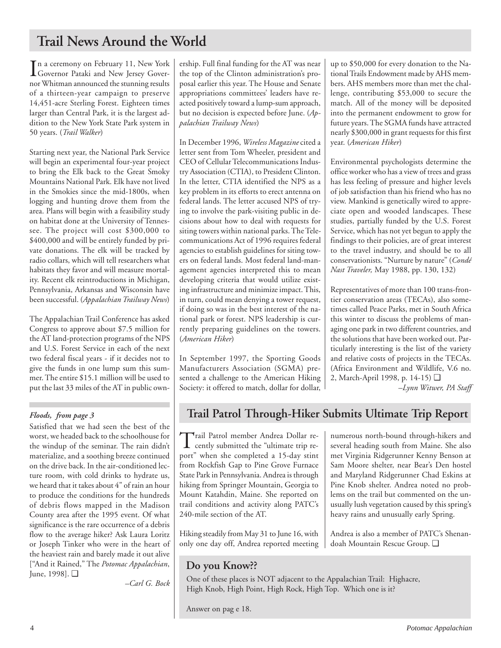## **Trail News Around the World**

In a ceremony on February 11, New York<br>Governor Pataki and New Jersey Governor<br>With the contract of the contract of the contract of the contract of the contract of the contract of the contract of the contract of the contra Governor Pataki and New Jersey Governor Whitman announced the stunning results of a thirteen-year campaign to preserve 14,451-acre Sterling Forest. Eighteen times larger than Central Park, it is the largest addition to the New York State Park system in 50 years. (*Trail Walker*)

Starting next year, the National Park Service will begin an experimental four-year project to bring the Elk back to the Great Smoky Mountains National Park. Elk have not lived in the Smokies since the mid-1800s, when logging and hunting drove them from the area. Plans will begin with a feasibility study on habitat done at the University of Tennessee. The project will cost \$300,000 to \$400,000 and will be entirely funded by private donations. The elk will be tracked by radio collars, which will tell researchers what habitats they favor and will measure mortality. Recent elk reintroductions in Michigan, Pennsylvania, Arkansas and Wisconsin have been successful. (*Appalachian Trailway News*)

The Appalachian Trail Conference has asked Congress to approve about \$7.5 million for the AT land-protection programs of the NPS and U.S. Forest Service in each of the next two federal fiscal years - if it decides not to give the funds in one lump sum this summer. The entire \$15.1 million will be used to put the last 33 miles of the AT in public own-

## *Floods, from page 3*

Satisfied that we had seen the best of the worst, we headed back to the schoolhouse for the windup of the seminar. The rain didn't materialize, and a soothing breeze continued on the drive back. In the air-conditioned lecture room, with cold drinks to hydrate us, we heard that it takes about 4" of rain an hour to produce the conditions for the hundreds of debris flows mapped in the Madison County area after the 1995 event. Of what significance is the rare occurrence of a debris flow to the average hiker? Ask Laura Loritz or Joseph Tinker who were in the heart of the heaviest rain and barely made it out alive ["And it Rained," The *Potomac Appalachian*, June, 1998]. ❑

*–Carl G. Bock*

ership. Full final funding for the AT was near the top of the Clinton administration's proposal earlier this year. The House and Senate appropriations committees' leaders have reacted positively toward a lump-sum approach, but no decision is expected before June. (*Appalachian Trailway News*)

In December 1996, *Wireless Magazine* cited a letter sent from Tom Wheeler, president and CEO of Cellular Telecommunications Industry Association (CTIA), to President Clinton. In the letter, CTIA identified the NPS as a key problem in its efforts to erect antenna on federal lands. The letter accused NPS of trying to involve the park-visiting public in decisions about how to deal with requests for siting towers within national parks. The Telecommunications Act of 1996 requires federal agencies to establish guidelines for siting towers on federal lands. Most federal land-management agencies interpreted this to mean developing criteria that would utilize existing infrastructure and minimize impact. This, in turn, could mean denying a tower request, if doing so was in the best interest of the national park or forest. NPS leadership is currently preparing guidelines on the towers. (*American Hiker*)

In September 1997, the Sporting Goods Manufacturers Association (SGMA) presented a challenge to the American Hiking Society: it offered to match, dollar for dollar, up to \$50,000 for every donation to the National Trails Endowment made by AHS members. AHS members more than met the challenge, contributing \$53,000 to secure the match. All of the money will be deposited into the permanent endowment to grow for future years. The SGMA funds have attracted nearly \$300,000 in grant requests for this first year. (*American Hiker*)

Environmental psychologists determine the office worker who has a view of trees and grass has less feeling of pressure and higher levels of job satisfaction than his friend who has no view. Mankind is genetically wired to appreciate open and wooded landscapes. These studies, partially funded by the U.S. Forest Service, which has not yet begun to apply the findings to their policies, are of great interest to the travel industry, and should be to all conservationists. "Nurture by nature" (*Condé Nast Traveler,* May 1988, pp. 130, 132)

Representatives of more than 100 trans-frontier conservation areas (TECAs), also sometimes called Peace Parks, met in South Africa this winter to discuss the problems of managing one park in two different countries, and the solutions that have been worked out. Particularly interesting is the list of the variety and relative costs of projects in the TECAs. (Africa Environment and Wildlife, V.6 no. 2, March-April 1998, p. 14-15) ❑

*–Lynn Witwer, PA Staff*

## **Trail Patrol Through-Hiker Submits Ultimate Trip Report**

Trail Patrol member Andrea Dollar re-<br>
cently submitted the "ultimate trip report" when she completed a 15-day stint from Rockfish Gap to Pine Grove Furnace State Park in Pennsylvania. Andrea is through hiking from Springer Mountain, Georgia to Mount Katahdin, Maine. She reported on trail conditions and activity along PATC's 240-mile section of the AT.

Hiking steadily from May 31 to June 16, with only one day off, Andrea reported meeting numerous north-bound through-hikers and several heading south from Maine. She also met Virginia Ridgerunner Kenny Benson at Sam Moore shelter, near Bear's Den hostel and Maryland Ridgerunner Chad Eskins at Pine Knob shelter. Andrea noted no problems on the trail but commented on the unusually lush vegetation caused by this spring's heavy rains and unusually early Spring.

Andrea is also a member of PATC's Shenandoah Mountain Rescue Group. ❑

## **Do you Know??**

One of these places is NOT adjacent to the Appalachian Trail: Highacre, High Knob, High Point, High Rock, High Top. Which one is it?

Answer on pag e 18.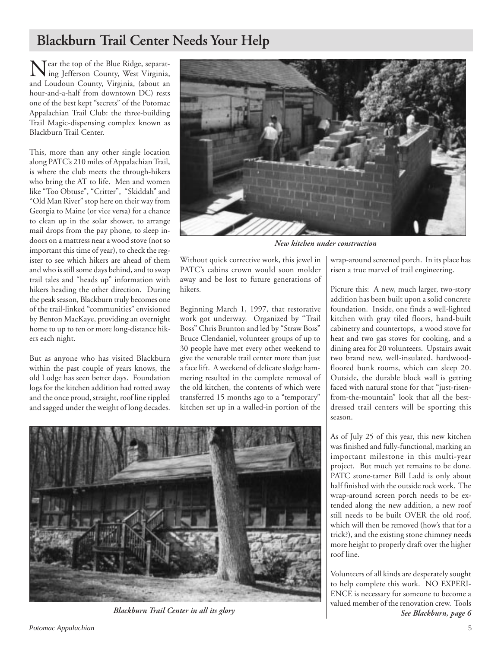## **Blackburn Trail Center Needs Your Help**

Near the top of the Blue Ridge, separating Jefferson County, West Virginia, and Loudoun County, Virginia, (about an hour-and-a-half from downtown DC) rests one of the best kept "secrets" of the Potomac Appalachian Trail Club: the three-building Trail Magic-dispensing complex known as Blackburn Trail Center.

This, more than any other single location along PATC's 210 miles of Appalachian Trail, is where the club meets the through-hikers who bring the AT to life. Men and women like "Too Obtuse", "Critter", "Skiddah" and "Old Man River" stop here on their way from Georgia to Maine (or vice versa) for a chance to clean up in the solar shower, to arrange mail drops from the pay phone, to sleep indoors on a mattress near a wood stove (not so important this time of year), to check the register to see which hikers are ahead of them and who is still some days behind, and to swap trail tales and "heads up" information with hikers heading the other direction. During the peak season, Blackburn truly becomes one of the trail-linked "communities" envisioned by Benton MacKaye, providing an overnight home to up to ten or more long-distance hikers each night.

But as anyone who has visited Blackburn within the past couple of years knows, the old Lodge has seen better days. Foundation logs for the kitchen addition had rotted away and the once proud, straight, roof line rippled and sagged under the weight of long decades.



*New kitchen under construction*

Without quick corrective work, this jewel in PATC's cabins crown would soon molder away and be lost to future generations of hikers.

Beginning March 1, 1997, that restorative work got underway. Organized by "Trail Boss" Chris Brunton and led by "Straw Boss" Bruce Clendaniel, volunteer groups of up to 30 people have met every other weekend to give the venerable trail center more than just a face lift. A weekend of delicate sledge hammering resulted in the complete removal of the old kitchen, the contents of which were transferred 15 months ago to a "temporary" kitchen set up in a walled-in portion of the

wrap-around screened porch. In its place has risen a true marvel of trail engineering.

Picture this: A new, much larger, two-story addition has been built upon a solid concrete foundation. Inside, one finds a well-lighted kitchen with gray tiled floors, hand-built cabinetry and countertops, a wood stove for heat and two gas stoves for cooking, and a dining area for 20 volunteers. Upstairs await two brand new, well-insulated, hardwoodfloored bunk rooms, which can sleep 20. Outside, the durable block wall is getting faced with natural stone for that "just-risenfrom-the-mountain" look that all the bestdressed trail centers will be sporting this season.

As of July 25 of this year, this new kitchen was finished and fully-functional, marking an important milestone in this multi-year project. But much yet remains to be done. PATC stone-tamer Bill Ladd is only about half finished with the outside rock work. The wrap-around screen porch needs to be extended along the new addition, a new roof still needs to be built OVER the old roof, which will then be removed (how's that for a trick?), and the existing stone chimney needs more height to properly draft over the higher roof line.

*See Blackburn, page 6* Volunteers of all kinds are desperately sought to help complete this work. NO EXPERI-ENCE is necessary for someone to become a valued member of the renovation crew. Tools



*Blackburn Trail Center in all its glory*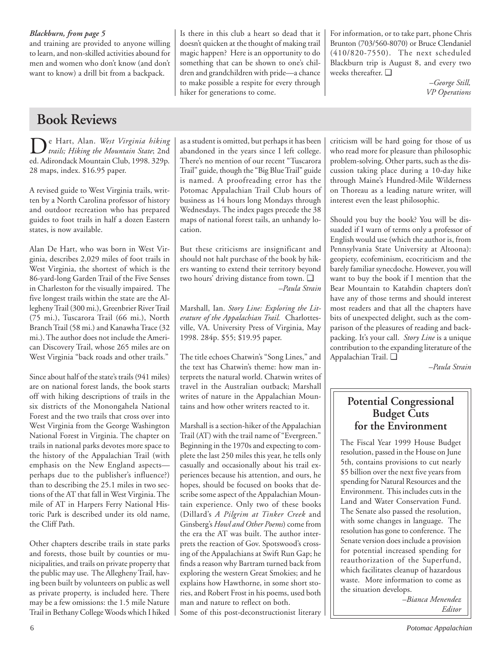## *Blackburn, from page 5*

and training are provided to anyone willing to learn, and non-skilled activities abound for men and women who don't know (and don't want to know) a drill bit from a backpack.

## **Book Reviews**

De Hart, Alan. *West Virginia hiking trails; Hiking the Mountain State*; 2nd ed. Adirondack Mountain Club, 1998. 329p. 28 maps, index. \$16.95 paper.

A revised guide to West Virginia trails, written by a North Carolina professor of history and outdoor recreation who has prepared guides to foot trails in half a dozen Eastern states, is now available.

Alan De Hart, who was born in West Virginia, describes 2,029 miles of foot trails in West Virginia, the shortest of which is the 86-yard-long Garden Trail of the Five Senses in Charleston for the visually impaired. The five longest trails within the state are the Allegheny Trail (300 mi.), Greenbrier River Trail (75 mi.), Tuscarora Trail (66 mi.), North Branch Trail (58 mi.) and Kanawha Trace (32 mi.). The author does not include the American Discovery Trail, whose 265 miles are on West Virginia "back roads and other trails."

Since about half of the state's trails (941 miles) are on national forest lands, the book starts off with hiking descriptions of trails in the six districts of the Monongahela National Forest and the two trails that cross over into West Virginia from the George Washington National Forest in Virginia. The chapter on trails in national parks devotes more space to the history of the Appalachian Trail (with emphasis on the New England aspects perhaps due to the publisher's influence?) than to describing the 25.1 miles in two sections of the AT that fall in West Virginia. The mile of AT in Harpers Ferry National Historic Park is described under its old name, the Cliff Path.

Other chapters describe trails in state parks and forests, those built by counties or municipalities, and trails on private property that the public may use. The Allegheny Trail, having been built by volunteers on public as well as private property, is included here. There may be a few omissions: the 1.5 mile Nature Trail in Bethany College Woods which I hiked as a student is omitted, but perhaps it has been abandoned in the years since I left college. There's no mention of our recent "Tuscarora Trail" guide, though the "Big Blue Trail" guide is named. A proofreading error has the Potomac Appalachian Trail Club hours of business as 14 hours long Mondays through Wednesdays. The index pages precede the 38 maps of national forest tails, an unhandy location.

Is there in this club a heart so dead that it doesn't quicken at the thought of making trail magic happen? Here is an opportunity to do something that can be shown to one's children and grandchildren with pride—a chance to make possible a respite for every through

hiker for generations to come.

But these criticisms are insignificant and should not halt purchase of the book by hikers wanting to extend their territory beyond two hours' driving distance from town. ❑ *–Paula Strain*

Marshall, Ian. *Story Line: Exploring the Literature of the Appalachian Trail.* Charlottesville, VA. University Press of Virginia, May 1998. 284p. \$55; \$19.95 paper.

The title echoes Chatwin's "Song Lines," and the text has Chatwin's theme: how man interprets the natural world. Chatwin writes of travel in the Australian outback; Marshall writes of nature in the Appalachian Mountains and how other writers reacted to it.

Marshall is a section-hiker of the Appalachian Trail (AT) with the trail name of "Evergreen." Beginning in the 1970s and expecting to complete the last 250 miles this year, he tells only casually and occasionally about his trail experiences because his attention, and ours, he hopes, should be focused on books that describe some aspect of the Appalachian Mountain experience. Only two of these books (Dillard's *A Pilgrim at Tinker Creek* and Ginsberg's *Howl and Other Poems*) come from the era the AT was built. The author interprets the reaction of Gov. Spotswood's crossing of the Appalachians at Swift Run Gap; he finds a reason why Bartram turned back from exploring the western Great Smokies; and he explains how Hawthorne, in some short stories, and Robert Frost in his poems, used both man and nature to reflect on both. Some of this post-deconstructionist literary For information, or to take part, phone Chris Brunton (703/560-8070) or Bruce Clendaniel (410/820-7550). The next scheduled Blackburn trip is August 8, and every two weeks thereafter. ❑

> *–George Still, VP Operations*

criticism will be hard going for those of us who read more for pleasure than philosophic problem-solving. Other parts, such as the discussion taking place during a 10-day hike through Maine's Hundred-Mile Wilderness on Thoreau as a leading nature writer, will interest even the least philosophic.

Should you buy the book? You will be dissuaded if I warn of terms only a professor of English would use (which the author is, from Pennsylvania State University at Altoona): geopiety, ecofeminism, ecocriticism and the barely familiar synecdoche. However, you will want to buy the book if I mention that the Bear Mountain to Katahdin chapters don't have any of those terms and should interest most readers and that all the chapters have bits of unexpected delight, such as the comparison of the pleasures of reading and backpacking. It's your call. *Story Line* is a unique contribution to the expanding literature of the Appalachian Trail. ❑

*–Paula Strain*

## **Potential Congressional Budget Cuts for the Environment**

The Fiscal Year 1999 House Budget resolution, passed in the House on June 5th, contains provisions to cut nearly \$5 billion over the next five years from spending for Natural Resources and the Environment. This includes cuts in the Land and Water Conservation Fund. The Senate also passed the resolution, with some changes in language. The resolution has gone to conference. The Senate version does include a provision for potential increased spending for reauthorization of the Superfund, which facilitates cleanup of hazardous waste. More information to come as the situation develops.

> *–Bianca Menendez Editor*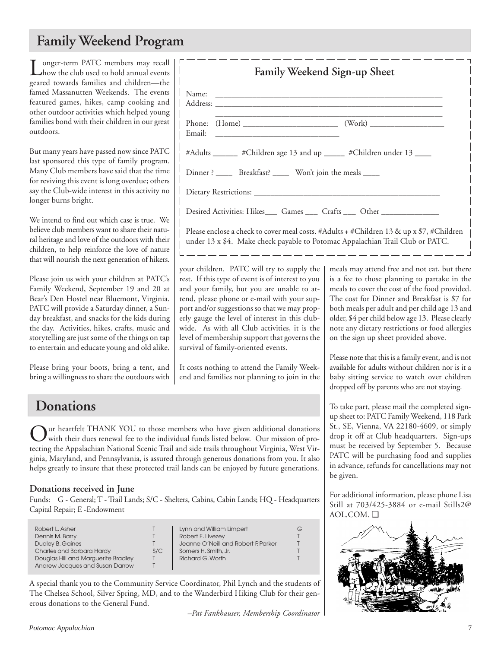## **Family Weekend Program**

Longer-term PATC members may recall<br>how the club used to hold annual events geared towards families and children—the famed Massanutten Weekends. The events featured games, hikes, camp cooking and other outdoor activities which helped young families bond with their children in our great outdoors.

But many years have passed now since PATC last sponsored this type of family program. Many Club members have said that the time for reviving this event is long overdue; others say the Club-wide interest in this activity no longer burns bright.

We intend to find out which case is true. We believe club members want to share their natural heritage and love of the outdoors with their children, to help reinforce the love of nature that will nourish the next generation of hikers.

Please join us with your children at PATC's Family Weekend, September 19 and 20 at Bear's Den Hostel near Bluemont, Virginia. PATC will provide a Saturday dinner, a Sunday breakfast, and snacks for the kids during the day. Activities, hikes, crafts, music and storytelling are just some of the things on tap to entertain and educate young and old alike.

Please bring your boots, bring a tent, and bring a willingness to share the outdoors with

## \_\_\_\_\_\_\_\_\_\_\_\_\_\_\_\_\_\_\_\_\_\_\_\_\_\_\_\_\_\_\_\_\_\_\_\_\_\_\_\_\_\_\_\_\_\_\_\_\_\_\_\_\_\_\_ Phone: (Home) \_\_\_\_\_\_\_\_\_\_\_\_\_\_\_\_\_\_\_\_\_\_\_ (Work) \_\_\_\_\_\_\_\_\_\_\_\_\_\_\_\_\_\_ Email: #Adults \_\_\_\_\_\_ #Children age 13 and up \_\_\_\_\_ #Children under 13 \_\_\_\_ Dinner ? Breakfast? Won't join the meals Dietary Restrictions: Desired Activities: Hikes\_\_\_\_\_ Games \_\_\_\_\_ Crafts \_\_\_\_\_ Other

Address: \_\_\_\_\_\_\_\_\_\_\_\_\_\_\_\_\_\_\_\_\_\_\_\_\_\_\_\_\_\_\_\_\_\_\_\_\_\_\_\_\_\_\_\_\_\_\_\_\_\_\_\_\_\_\_

Name:

Please enclose a check to cover meal costs. #Adults + #Children 13 & up x \$7, #Children under 13 x \$4. Make check payable to Potomac Appalachian Trail Club or PATC.

**Family Weekend Sign-up Sheet**

your children. PATC will try to supply the rest. If this type of event is of interest to you and your family, but you are unable to attend, please phone or e-mail with your support and/or suggestions so that we may properly gauge the level of interest in this clubwide. As with all Club activities, it is the level of membership support that governs the survival of family-oriented events.

It costs nothing to attend the Family Weekend and families not planning to join in the meals may attend free and not eat, but there is a fee to those planning to partake in the meals to cover the cost of the food provided. The cost for Dinner and Breakfast is \$7 for both meals per adult and per child age 13 and older, \$4 per child below age 13. Please clearly note any dietary restrictions or food allergies on the sign up sheet provided above.

Please note that this is a family event, and is not available for adults without children nor is it a baby sitting service to watch over children dropped off by parents who are not staying.

To take part, please mail the completed signup sheet to: PATC Family Weekend, 118 Park St., SE, Vienna, VA 22180-4609, or simply drop it off at Club headquarters. Sign-ups must be received by September 5. Because PATC will be purchasing food and supplies in advance, refunds for cancellations may not be given.

For additional information, please phone Lisa Still at 703/425-3884 or e-mail Stills2@ AOL.COM. ❑



## **Donations**

 $\sum$ ur heartfelt THANK YOU to those members who have given additional donations<br>with their dues renewal fee to the individual funds listed below. Our mission of pro-<br>with the individual property of the individual property tecting the Appalachian National Scenic Trail and side trails throughout Virginia, West Virginia, Maryland, and Pennsylvania, is assured through generous donations from you. It also helps greatly to insure that these protected trail lands can be enjoyed by future generations.

## **Donations received in June**

Funds: G - General; T - Trail Lands; S/C - Shelters, Cabins, Cabin Lands; HQ - Headquarters Capital Repair; E -Endowment

| Robert L. Asher                     |     | Lynn and William Limpert            | G |
|-------------------------------------|-----|-------------------------------------|---|
| Dennis M. Barry                     |     | Robert E. Livezey                   |   |
| <b>Dudley B. Gaines</b>             |     | Jeanne O'Neill and Robert P. Parker |   |
| Charles and Barbara Hardy           | S/C | Somers H. Smith, Jr.                |   |
| Douglas Hill and Marguerite Bradley |     | Richard G. Worth                    |   |
| Andrew Jacques and Susan Darrow     |     |                                     |   |

A special thank you to the Community Service Coordinator, Phil Lynch and the students of The Chelsea School, Silver Spring, MD, and to the Wanderbird Hiking Club for their generous donations to the General Fund.

*–Pat Fankhauser, Membership Coordinator*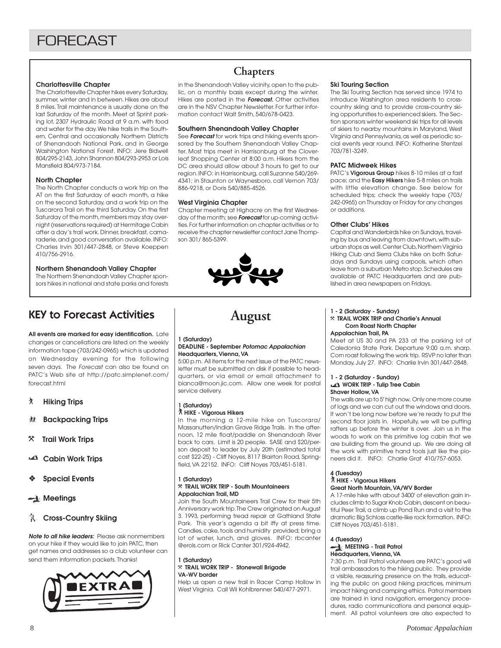## **Charlottesville Chapter**

The Charlottesville Chapter hikes every Saturday, summer, winter and in between. Hikes are about 8 miles. Trail maintenance is usually done on the last Saturday of the month. Meet at Sprint parking lot, 2307 Hydraulic Road at 9 a.m. with food and water for the day. We hike trails in the Southern, Central and occasionally Northern Districts of Shenandoah National Park, and in George Washington National Forest. INFO: Jere Bidwell 804/295-2143, John Shannon 804/293-2953 or Lois Mansfield 804/973-7184.

### **North Chapter**

The North Chapter conducts a work trip on the AT on the first Saturday of each month, a hike on the second Saturday, and a work trip on the Tuscarora Trail on the third Saturday. On the first Saturday of the month, members may stay overnight (reservations required) at Hermitage Cabin after a day's trail work. Dinner, breakfast, camaraderie, and good conversation available. INFO: Charles Irvin 301/447-2848, or Steve Koeppen 410/756-2916.

## **Northern Shenandoah Valley Chapter**

The Northern Shenandoah Valley Chapter sponsors hikes in national and state parks and forests

## KEY to Forecast Activities

**All events are marked for easy identification.** Late changes or cancellations are listed on the weekly information tape (703/242-0965) which is updated on Wednesday evening for the following seven days. The Forecast can also be found on PATC's Web site at http://patc.simplenet.com/ forecast.html

- ` **Hiking Trips**
- **然 Backpacking Trips**
- } **Trail Work Trips**
- **Cabin Work Trips**
- ❖ **Special Events**

## **Meetings**

## **R** Cross-Country Skiing

**Note to all hike leaders:** Please ask nonmembers on your hike if they would like to join PATC, then get names and addresses so a club volunteer can send them information packets. Thanks!



## **Chapters**

in the Shenandoah Valley vicinity, open to the public, on a monthly basis except during the winter. Hikes are posted in the **Forecast.** Other activities are in the NSV Chapter Newsletter. For further information contact Walt Smith, 540/678-0423.

### **Southern Shenandoah Valley Chapter**

See **Forecast** for work trips and hiking events sponsored by the Southern Shenandoah Valley Chapter. Most trips meet in Harrisonburg at the Cloverleaf Shopping Center at 8:00 a.m. Hikers from the DC area should allow about 3 hours to get to our region. INFO: in Harrisonburg, call Suzanne 540/269- 4341; in Staunton or Waynesboro, call Vernon 703/ 886-9218, or Doris 540/885-4526.

### **West Virginia Chapter**

Chapter meeting at Highacre on the first Wednesday of the month; see **Forecast** for up-coming activities. For further information on chapter activities or to receive the chapter newsletter contact Jane Thompson 301/ 865-5399.



### **Ski Touring Section**

The Ski Touring Section has served since 1974 to introduce Washington area residents to crosscountry skiing and to provide cross-country skiing opportunities to experienced skiers. The Section sponsors winter weekend ski trips for all levels of skiers to nearby mountains in Maryland, West Virginia and Pennsylvania, as well as periodic social events year round. INFO: Katherine Stentzel 703/781-3249.

### **PATC Midweek Hikes**

PATC's **Vigorous Group** hikes 8-10 miles at a fast pace; and the **Easy Hikers** hike 5-8 miles on trails with little elevation change. See below for scheduled trips; check the weekly tape (703/ 242-0965) on Thursday or Friday for any changes or additions.

### **Other Clubs' Hikes**

Capital and Wanderbirds hike on Sundays, traveling by bus and leaving from downtown, with suburban stops as well. Center Club, Northern Virginia Hiking Club and Sierra Clubs hike on both Saturdays and Sundays using carpools, which often leave from a suburban Metro stop. Schedules are available at PATC Headquarters and are published in area newspapers on Fridays.

## **August**

## **1 (Saturday)**

#### **DEADLINE - September Potomac Appalachian Headquarters, Vienna, VA**

5:00 p.m. All items for the next issue of the PATC newsletter must be submitted on disk if possible to headquarters, or via email or email attachment to bianca@moon.jic.com. Allow one week for postal service delivery.

### **1 (Saturday)**

### ` **HIKE - Vigorous Hikers**

In the morning a 12-mile hike on Tuscorara/ Massanutten/Indian Grave Ridge Trails. In the afternoon, 12 mile float/paddle on Shenandoah River back to cars. Limit is 20 people. SASE and \$20/person deposit to leader by July 20th (estimated total cost \$22-25) - Cliff Noyes, 8117 Blairton Road, Springfield, VA 22152. INFO: Cliff Noyes 703/451-5181.

#### **1 (Saturday)** }**TRAIL WORK TRIP - South Mountaineers Appalachian Trail, MD**

Join the South Mountaineers Trail Crew for their 5th Anniversary work trip. The Crew originated on August 3. 1993, performing tread repair at Gathland State Park. This year's agenda a bit iffy at press time. Candles, cake, tools and humidity provided; bring a lot of water, lunch, and gloves. INFO: rbcanter @erols.com or Rick Canter 301/924-4942.

### **1 (Saturday)** }**TRAIL WORK TRIP - Stonewall Brigade VA-WV border**

Help us open a new trail in Racer Camp Hollow in West Virginia. Call Wil Kohlbrenner 540/477-2971.

## **1 - 2 (Saturday - Sunday)**

#### }**TRAIL WORK TRIP and Charlie's Annual Corn Roast North Chapter Appalachian Trail, PA**

Meet at US 30 and PA 233 at the parking lot of Caledonia State Park. Departure 9:00 a.m. sharp. Corn roast following the work trip. RSVP no later than Monday, July 27. INFO: Charlie Irvin 301/447-2848.

## **1 - 2 (Saturday - Sunday) WORK TRIP - Tulip Tree Cabin Shaver Hollow, VA**

The walls are up to 5' high now. Only one more course of logs and we can cut out the windows and doors. It won't be long now before we're ready to put the second floor joists in. Hopefully, we will be putting rafters up before the winter is over. Join us in the woods to work on this primitive log cabin that we are building from the ground up. We are doing all the work with primitive hand tools just like the pioneers did it. INFO: Charlie Graf 410/757-6053.

### **4 (Tuesday)**

#### ` **HIKE - Vigorous Hikers Great North Mountain, VA/WV Border**

A 17-mile hike with about 3400' of elevation gain includes climb to Sugar Knob Cabin, descent on beautiful Peer Trail, a climb up Pond Run and a visit to the dramatic Big Schloss castle-like rock formation. INFO: Cliff Noyes 703/451-5181.

### **4 (Tuesday) MEETING - Trail Patrol Headquarters, Vienna, VA**

7:30 p.m. Trail Patrol volunteers are PATC's good will trail ambassadors to the hiking public. They provide a visible, reassuring presence on the trails, educating the public on good hiking practices, minimum impact hiking and camping ethics. Patrol members are trained in land navigation, emergency procedures, radio communications and personal equipment. All patrol volunteers are also expected to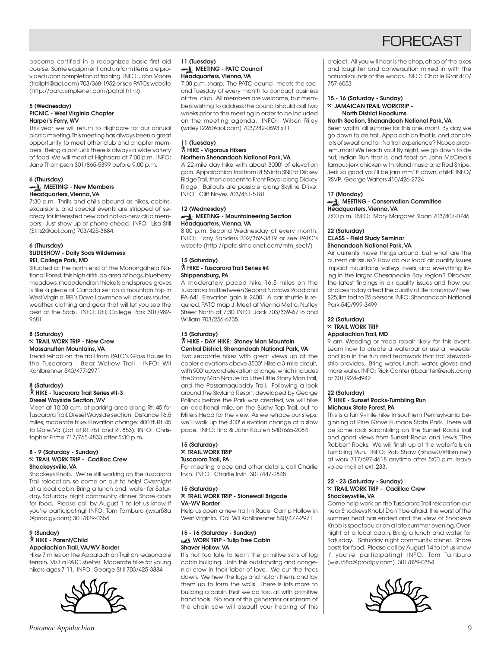## **FORFCAST**

become certified in a recognized basic first aid course. Some equipment and uniform items are provided upon completion of training. INFO: John Moore (trailptrl@aol.com) 703/368-1952 or see PATCs website (http://patc.simplenet.com/patrol.html)

#### **5 (Wednesday) PICNIC - West Virginia Chapter Harper's Ferry, WV**

This year we will return to Highacre for our annual picnic meeting. This meeting has always been a great opportunity to meet other club and chapter members. Being a pot luck there is always a wide variety of food. We will meet at Highacre at 7:00 p.m. INFO: Jane Thompson 301/865-5399 before 9:00 p.m.

### **6 (Thursday) MEETING - New Members Headquarters, Vienna, VA**

7:30 p.m. Thrills and chills abound as hikes, cabins, excursions, and special events are stripped of secrecy for interested new and not-so-new club members. Just show up or phone ahead. INFO: Lisa Still (Stills2@aol.com) 703/425-3884.

#### **6 (Thursday) SLIDESHOW - Dolly Sods Wilderness REI, College Park, MD**

Situated at the north end of the Monongahela National Forest, this high altitude area of bogs, blueberry meadows, rhododendron thickets and spruce groves is like a piece of Canada set on a mountain top in West Virginia. REI's Dave Lawrence will discuss routes, weather, clothing and gear that will let you see the best of the Sods. INFO: REI, College Park 301/982- 9681

#### **8 (Saturday)** }**TRAIL WORK TRIP - New Crew Massanutten Mountains, VA**

Tread rehab on the trail from PATC's Glass House to the Tuscarora - Bear Wallow Trail. INFO: Wil Kohlbrenner 540/477-2971

### **8 (Saturday)** ` **HIKE - Tuscarora Trail Series #II-3 Dresel Wayside Section, WV**

Meet at 10:00 a.m. at parking area along Rt. 45 for Tuscarora Trail. Dresel Wayside section. Distance 16.5 miles, moderate hike. Elevation change: 400 ft. Rt. 45 to Gore, Va. (Jct. of Rt. 751 and Rt. 853). INFO: Christopher Firme 717/765-4833 after 5:30 p.m.

## **8 - 9 (Saturday - Sunday)** }**TRAIL WORK TRIP - Cadillac Crew Shockeysville, VA**

Shockeys Knob. We're still working on the Tuscarora Trail relocation, so come on out to help! Overnight at a local cabin. Bring a lunch and water for Saturday. Saturday night community dinner. Share costs for food. Please call by August 1 to let us know if you're participating! INFO: Tom Tamburo (wxur58a @prodigy.com) 301/829-0354

### **9 (Sunday)** ` **HIKE - Parent/Child Appalachian Trail, VA/WV Border**

Hike 7 miles on the Appalachian Trail on reasonable terrain. Visit a PATC shelter. Moderate hike for young hikers ages 7-11. INFO: George Still 703/425-3884



### **11 (Tuesday) MEETING - PATC Council Headquarters, Vienna, VA**

7:00 p.m. sharp. The PATC council meets the second Tuesday of every month to conduct business of the club. All members are welcome, but members wishing to address the council should call two weeks prior to the meeting in order to be included on the meeting agenda. INFO: Wilson Riley (wriley1226@aol.com) 703/242-0693 x11

#### **11 (Tuesday)** ` **HIKE - Vigorous Hikers Northern Shenandoah National Park, VA**

A 22-mile day hike with about 3000' of elevation gain. Appalachian Trail from Rt 55 into SNP, to Dickey Ridge Trail, then descent to Front Royal along Dickey Ridge. Bailouts are possible along Skyline Drive. INFO: Cliff Noyes 703/451-5181

### **12 (Wednesday) MEETING - Mountaineering Section Headquarters, Vienna, VA**

8:00 p.m. Second Wednesday of every month. INFO: Tony Sanders 202/362-3819 or see PATC's website (http://patc.simplenet.com/mtn\_sect/)

### **15 (Saturday)** ` **HIKE - Tuscarora Trail Series #4 Shippensburg, PA**

A moderately paced hike 16.5 miles on the Tuscarora Trail between Second Narrows Road and PA-641. Elevation gain is 2400'. A car shuttle is required. PATC map J. Meet at Vienna Metro, Nutley Street North at 7:30. INFO: Jack 703/339-6716 and William 703/256-6735.

### **15 (Saturday)** ` **HIKE - DAY HIKE: Stoney Man Mountain Central District, Shenandoah National Park, VA**

Two separate hikes with great views up at the cooler elevations above 3500'. Hike a 3-mile circuit, with 900' upward elevation change, which includes the Stony Man Nature Trail, the Little Stony Man Trail, and the Passamaquoddy Trail. Following a look around the Skyland Resort, developed by George Pollock before the Park was created, we will hike an additional mile, on the Bushy Top Trail, out to Millers Head for the view. As we retrace our steps, we'll walk up the 400' elevation change at a slow pace. INFO: Tina & John Kauten 540/665-2084

#### **15 (Saturday)** }**TRAIL WORK TRIP Tuscarora Trail, PA**

For meeting place and other details, call Charlie Irvin. INFO: Charlie Irvin 301/447-2848

#### **15 (Saturday)** }**TRAIL WORK TRIP - Stonewall Brigade VA-WV Border**

Help us open a new trail in Racer Camp Hollow in West Virginia. Call Wil Kohlbrenner 540/477-2971

## **15 - 16 (Saturday - Sunday) WORK TRIP - Tulip Tree Cabin Shaver Hollow, VA**

It's not too late to learn the primitive skills of log cabin building. Join this outstanding and congenial crew in their labor of love. We cut the trees down. We hew the logs and notch them, and lay them up to form the walls. There is lots more to building a cabin that we do too, all with primitive hand tools. No roar of the generator or scream of the chain saw will assault your hearing of this project. All you will hear is the chop, chop of the axes and laughter and conversation mixed in with the natural sounds of the woods. INFO: Charlie Graf 410/ 757-6053

#### **15 - 16 (Saturday - Sunday)** }**JAMAICAN TRAIL WORKTRIP - North District Hoodlums**

## **North Section, Shenandoah National Park, VA**

Been waitin' all summer for this one, mon! By day, we go down to de trail, Appalachian that is, and donate lots of sweat and toil. No trail experience? Noooo problem, mon! We teach you! By night, we go down to de hut, Indian Run that is, and feast on John McCrea's famous jerk chicken with island music and Red Stripe. Jerk so good you'll be jam mm' it down, child! INFO/ RSVP: George Walters 410/426-2724

## **17 (Monday)**

### **MEETING - Conservation Committee Headquarters, Vienna, VA** 7:00 p.m. INFO: Mary Margaret Sloan 703/807-0746

### **22 (Saturday) CLASS - Field Study Seminar Shenandoah National Park, VA**

Air currents move things around, but what are the current air issues? How do our local air quality issues impact mountains, valleys, rivers, and everything living in the larger Chesapeake Bay region? Discover the latest findings in air quality issues and how our choices today affect the quality of life tomorrow? Fee: \$25, limited to 25 persons. INFO: Shenandoah National Park 540/999-3499

#### **22 (Saturday)** }**TRAIL WORK TRIP Appalachian Trail, MD**

9 am. Weeding or tread repair likely for this event. Learn how to create a waterbar or use a weeder and join in the fun and teamwork that trail stewardship provides. Bring water, lunch, water, gloves and more water. INFO: Rick Canter (rbcanter@erols.com) or 301/924-4942

## **22 (Saturday)**

### ` **HIKE - Sunset Rocks-Tumbling Run Michaux State Forest, PA**

This is a fun 9-mile hike in southern Pennsylvania beginning at Pine Grove Furnace State Park. There will be some rock scrambling on the Sunset Rocks Trail and good views from Sunset Rocks and Lewis "The Robber" Rocks. We will finish up at the waterfalls on Tumbling Run. INFO: Rob Shaw (rshaw07@ibm.net) at work 717/697-4618 anytime after 5:00 p.m. leave voice mail at ext. 233.

#### **22 - 23 (Saturday - Sunday)** }**TRAIL WORK TRIP - Cadillac Crew Shockeysville, VA**

Come help work on the Tuscarora Trail relocation out near Shockeys Knob! Don't be afraid, the worst of the summer heat has ended and the view of Shockeys Knob is spectacular on a late summer evening. Overnight at a local cabin. Bring a lunch and water for Saturday. Saturday night community dinner. Share costs for food. Please call by August 14 to let us know if you're participating! INFO: Tom Tamburo (wxur58a@prodigy.com) 301/829-0354

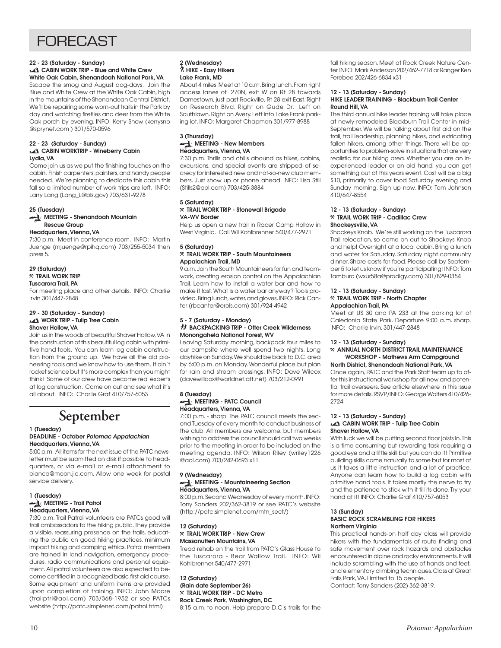## **FORFCAST**

## **22 - 23 (Saturday - Sunday) CABIN WORK TRIP - Blue and White Crew White Oak Cabin, Shenandoah National Park, VA**

Escape the smog and August dog-days. Join the Blue and White Crew at the White Oak Cabin, high in the mountains of the Shenandoah Central District. We'll be repairing some worn-out trails in the Park by day and watching fireflies and deer from the White Oak porch by evening. INFO: Kerry Snow (kerrysno @sprynet.com ) 301/570-0596

## **22 - 23 (Saturday - Sunday) CABIN WORKTRIP - Wineberry Cabin Lydia, VA**

Come join us as we put the finishing touches on the cabin. Finish carpenters, painters, and handy people needed. We're planning to dedicate this cabin this fall so a limited number of work trips are left. INFO: Larry Lang (Lang\_L@bls.gov) 703/631-9278

#### **25 (Tuesday) MEETING - Shenandoah Mountain**

## **Rescue Group**

**Headquarters, Vienna, VA** 7:30 p.m. Meet in conference room. INFO: Martin Juenge (mjuenge@rpihq.com) 703/255-5034 then press 5.

#### **29 (Saturday)** }**TRAIL WORK TRIP**

## **Tuscarora Trail, PA**

For meeting place and other details. INFO: Charlie Irvin 301/447-2848

## **29 - 30 (Saturday - Sunday)**<br>**128 WORK TRIP - Tulip Tree Cabin Shaver Hollow, VA**

Join us in the woods of beautiful Shaver Hollow, VA in the construction of this beautiful log cabin with primitive hand tools. You can learn log cabin construction from the ground up. We have all the old pioneering tools and we know how to use them. It ain't rocket science but it's more complex than you might think! Some of our crew have become real experts at log construction. Come on out and see what it's all about. INFO: Charlie Graf 410/757-6053

## **September**

### **1 (Tuesday)**

### **DEADLINE - October Potomac Appalachian Headquarters, Vienna, VA**

5:00 p.m. All items for the next issue of the PATC newsletter must be submitted on disk if possible to headquarters, or via e-mail or e-mail attachment to bianca@moon.jic.com. Allow one week for postal service delivery.

#### **1 (Tuesday) MEETING - Trail Patrol Headquarters, Vienna, VA**

7:30 p.m. Trail Patrol volunteers are PATCs good will trail ambassadors to the hiking public. They provide a visible, reassuring presence on the trails, educating the public on good hiking practices, minimum impact hiking and camping ethics. Patrol members are trained in land navigation, emergency procedures, radio communications and personal equipment. All patrol volunteers are also expected to become certified in a recognized basic first aid course. Some equipment and uniform items are provided upon completion of training. INFO: John Moore (trailptrl@aol.com) 703/368-1952 or see PATCs website (http://patc.simplenet.com/patrol.html)

### **2 (Wednesday)** ` **HIKE - Easy Hikers Lake Frank, MD**

About 4 miles. Meet at 10 a.m. Bring lunch. From right access lanes of I270N, exit W on Rt 28 towards Darnestown, just past Rockville, Rt 28 exit East. Right on Research Blvd. Right on Gude Dr. Left on Southlawn. Right on Avery. Left into Lake Frank parking lot. INFO: Margaret Chapman 301/977-8988

#### **3 (Thursday) MEETING - New Members Headquarters, Vienna, VA**

7:30 p.m. Thrills and chills abound as hikes, cabins, excursions, and special events are stripped of secrecy for interested new and not-so-new club members. Just show up or phone ahead. INFO: Lisa Still (Stills2@aol.com) 703/425-3884

### **5 (Saturday)** }**TRAIL WORK TRIP - Stonewall Brigade VA-WV Border**

Help us open a new trail in Racer Camp Hollow in West Virginia. Call Wil Kohlbrenner 540/477-2971

### **5 (Saturday)** }**TRAIL WORK TRIP - South Mountaineers Appalachian Trail, MD**

9 a.m. Join the South Mountaineers for fun and teamwork, creating erosion control on the Appalachian Trail. Learn how to install a water bar and how to make it last. What is a water bar anyway? Tools provided. Bring lunch, water, and gloves. INFO: Rick Canter (rbcanter@erols.com) 301/924-4942

#### **5 - 7 (Saturday - Monday)** *MI* **BACKPACKING TRIP - Otter Creek Wilderness Monongahela National Forest, WV**

Leaving Saturday morning, backpack four miles to our campsite where well spend two nights. Long dayhike on Sunday. We should be back to D.C. area by 6:00 p.m. on Monday. Wonderful place but plan for rain and stream crossings. INFO: Dave Wilcox (davewillcox@worldnet.att.net) 703/212-0991

#### **8 (Tuesday) MEETING - PATC Council Headquarters, Vienna, VA**

7:00 p.m. - sharp. The PATC council meets the second Tuesday of every month to conduct business of the club. All members are welcome, but members wishing to address the council should call two weeks prior to the meeting in order to be included on the meeting agenda. INFO: Wilson Riley (wriley1226 @aol.com) 703/242-0693 x11

### **9 (Wednesday) MEETING - Mountaineering Section Headquarters, Vienna, VA**

8:00 p.m. Second Wednesday of every month. INFO: Tony Sanders 202/362-3819 or see PATC's website (http://patc.simplenet.com/mtn\_sect/)

## **12 (Saturday)** }**TRAIL WORK TRIP - New Crew**

**Massanutten Mountains, VA**

Tread rehab on the trail from PATC's Glass House to the Tuscarora - Bear Wallow Trail. INFO: Wil Kohlbrenner 540/477-2971

**12 (Saturday) (Rain date September 26)** }**TRAIL WORK TRIP - DC Metro Rock Creek Park, Washington, DC** 8:15 a.m. to noon. Help prepare D.C.s trails for the fall hiking season. Meet at Rock Creek Nature Center. INFO: Mark Anderson 202/462-7718 or Ranger Ken Ferebee 202/426-6834 x31

#### **12 - 13 (Saturday - Sunday) HIKE LEADER TRAINING - Blackburn Trail Center Round Hill, VA**

The third annual hike leader training will take place at newly-remodeled Blackburn Trail Center in mid-September. We will be talking about first aid on the trail, trail leadership, planning hikes, and extricating fallen hikers, among other things. There will be opportunities to problem-solve in situations that are very realistic for our hiking area. Whether you are an inexperienced leader or an old hand, you can get something out of this years event. Cost will be a big \$10, primarily to cover food Saturday evening and Sunday morning. Sign up now. INFO: Tom Johnson 410/647-8554

### **12 - 13 (Saturday - Sunday)** }**TRAIL WORK TRIP - Cadillac Crew Shockeysville, VA**

Shockeys Knob. We're still working on the Tuscarora Trail relocation, so come on out to Shockeys Knob and help! Overnight at a local cabin. Bring a lunch and water for Saturday. Saturday night community dinner. Share costs for food. Please call by September 5 to let us know if you're participating! INFO: Tom Tamburo (wxur58a@prodigy.com) 301/829-0354

## **12 - 13 (Saturday - Sunday)** }**TRAIL WORK TRIP - North Chapter Appalachian Trail, PA**

Meet at US 30 and PA 233 at the parking lot of Caledonia State Park. Departure 9:00 a.m. sharp. INFO: Charlie Irvin, 301/447-2848

## **12 - 13 (Saturday - Sunday)**

## }**ANNUAL NORTH DISTRICT TRAIL MAINTENANCE WORKSHOP - Mathews Arm Campground**

**North District, Shenandoah National Park, VA**

Once again, PATC and the Park Staff team up to offer this instructional workshop for all new and potential trail overseers. See article elsewhere in this issue for more details. RSVP/INFO: George Walters 410/426- 2724

## **12 - 13 (Saturday - Sunday)**<br> **EXECABIN WORK TRIP - Tulip Tree Cabin Shaver Hollow, VA**

With luck we will be putting second floor joists in. This is a time consuming but rewarding task requiring a good eye and a little skill but you can do it! Primitive building skills come naturally to some but for most of us it takes a little instruction and a lot of practice. Anyone can learn how to build a log cabin with primitive hand tools. It takes mostly the nerve to try and the patience to stick with it till its done. Try your hand at it! INFO: Charlie Graf 410/757-6053

### **13 (Sunday) BASIC ROCK SCRAMBLING FOR HIKERS Northern Virginia**

This practical hands-on half day class will provide hikers with the fundamentals of route finding and safe movement over rock hazards and obstacles encountered in alpine and rocky environments. It will include scrambling with the use of hands and feet, and elementary climbing techniques. Class at Great Falls Park, VA. Limited to 15 people. Contact: Tony Sanders (202) 362-3819.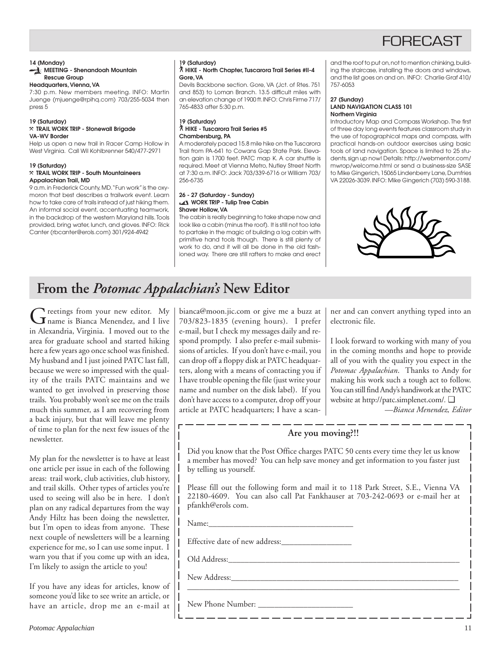## **FORFCAS**

## **14 (Monday)**

## **MEETING - Shenandoah Mountain Rescue Group**

**Headquarters, Vienna, VA**

7:30 p.m. New members meeting. INFO: Martin Juenge (mjuenge@rpihq.com) 703/255-5034 then press 5

#### **19 (Saturday)** }**TRAIL WORK TRIP - Stonewall Brigade VA-WV Border**

Help us open a new trail in Racer Camp Hollow in West Virginia. Call Wil Kohlbrenner 540/477-2971

## **19 (Saturday)**

### }**TRAIL WORK TRIP - South Mountaineers Appalachian Trail, MD**

9 a.m. in Frederick County, MD. "Fun work" is the oxymoron that best describes a trailwork event. Learn how to take care of trails instead of just hiking them. An informal social event, accentuating teamwork, in the backdrop of the western Maryland hills. Tools provided, bring water, lunch, and gloves. INFO: Rick Canter (rbcanter@erols.com) 301/924-4942

## **19 (Saturday)**

### ` **HIKE - North Chapter, Tuscarora Trail Series #II-4 Gore, VA**

Devils Backbone section. Gore, VA (Jct. of Rtes. 751 and 853) to Loman Branch. 13.5 difficult miles with an elevation change of 1900 ft. INFO: Chris Firme 717/ 765-4833 after 5:30 p.m.

## **19 (Saturday)** ` **HIKE - Tuscarora Trail Series #5 Chambersburg, PA**

A moderately paced 15.8 mile hike on the Tuscarora Trail from PA-641 to Cowans Gap State Park. Elevation gain is 1700 feet. PATC map K. A car shuttle is required. Meet at Vienna Metro, Nutley Street North at 7:30 a.m. INFO: Jack 703/339-6716 or William 703/ 256-6735

## **26 - 27 (Saturday - Sunday) WORK TRIP - Tulip Tree Cabin Shaver Hollow, VA**

The cabin is really beginning to take shape now and look like a cabin (minus the roof). It is still not too late to partake in the magic of building a log cabin with primitive hand tools though. There is still plenty of work to do, and it will all be done in the old fashioned way. There are still rafters to make and erect and the roof to put on, not to mention chinking, building the staircase, installing the doors and windows, and the list goes on and on. INFO: Charlie Graf 410/ 757-6053

#### **27 (Sunday) LAND NAVIGATION CLASS 101 Northern Virginia**

Introductory Map and Compass Workshop. The first of three day long events features classroom study in the use of topographical maps and compass, with practical hands-on outdoor exercises using basic tools of land navigation. Space is limited to 25 students, sign up now! Details: http://webmentor.com/ mwrop/welcome.html or send a business-size SASE to Mike Gingerich, 15065 Lindenberry Lane, Dumfries VA 22026-3039. INFO: Mike Gingerich (703) 590-3188.



## **From the** *Potomac Appalachian's* **New Editor**

Greetings from your new editor. My<br>name is Bianca Menendez, and I live in Alexandria, Virginia. I moved out to the area for graduate school and started hiking here a few years ago once school was finished. My husband and I just joined PATC last fall, because we were so impressed with the quality of the trails PATC maintains and we wanted to get involved in preserving those trails. You probably won't see me on the trails much this summer, as I am recovering from a back injury, but that will leave me plenty of time to plan for the next few issues of the newsletter.

My plan for the newsletter is to have at least one article per issue in each of the following areas: trail work, club activities, club history, and trail skills. Other types of articles you're used to seeing will also be in here. I don't plan on any radical departures from the way Andy Hiltz has been doing the newsletter, but I'm open to ideas from anyone. These next couple of newsletters will be a learning experience for me, so I can use some input. I warn you that if you come up with an idea, I'm likely to assign the article to you!

If you have any ideas for articles, know of someone you'd like to see write an article, or have an article, drop me an e-mail at

bianca@moon.jic.com or give me a buzz at 703/823-1835 (evening hours). I prefer e-mail, but I check my messages daily and respond promptly. I also prefer e-mail submissions of articles. If you don't have e-mail, you can drop off a floppy disk at PATC headquarters, along with a means of contacting you if I have trouble opening the file (just write your name and number on the disk label). If you don't have access to a computer, drop off your article at PATC headquarters; I have a scanner and can convert anything typed into an electronic file.

I look forward to working with many of you in the coming months and hope to provide all of you with the quality you expect in the *Potomac Appalachian*. Thanks to Andy for making his work such a tough act to follow. You can still find Andy's handiwork at the PATC website at http://patc.simplenet.com/*.* ❑

*—Bianca Menendez, Editor*

## **Are you moving?!!**

Did you know that the Post Office charges PATC 50 cents every time they let us know a member has moved? You can help save money and get information to you faster just by telling us yourself.

Please fill out the following form and mail it to 118 Park Street, S.E., Vienna VA 22180-4609. You can also call Pat Fankhauser at 703-242-0693 or e-mail her at pfankh@erols com.

\_\_\_\_\_\_\_\_\_\_\_\_\_\_\_\_\_\_\_\_\_\_\_\_\_\_\_\_\_\_\_\_\_\_\_\_\_\_\_\_\_\_\_\_\_\_\_\_\_\_\_\_\_\_\_\_\_\_\_\_\_\_\_\_\_\_\_

<u> 1919 – 1919 Jan 1919 – 1919 – 19</u>

 $Name:$ 

Effective date of new address:\_\_\_\_\_\_\_\_\_\_\_\_\_\_\_\_\_

Old Address:

New Address:

New Phone Number: \_\_\_\_\_\_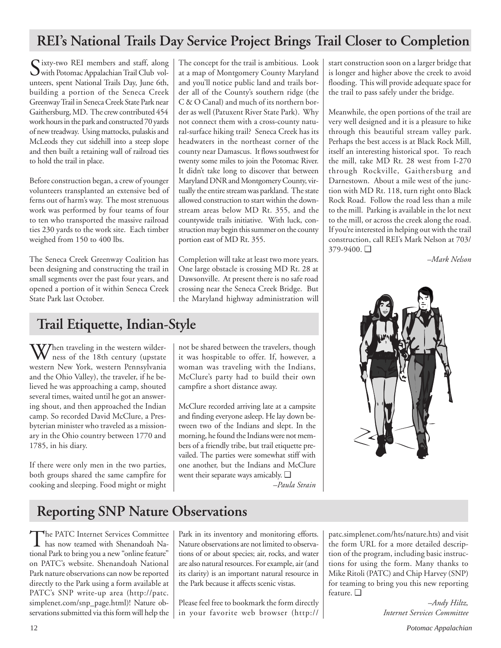## **REI's National Trails Day Service Project Brings Trail Closer to Completion**

Sixty-two REI members and staff, along with Potomac Appalachian Trail Club volunteers, spent National Trails Day, June 6th, building a portion of the Seneca Creek Greenway Trail in Seneca Creek State Park near Gaithersburg, MD. The crew contributed 454 work hours in the park and constructed 70 yards of new treadway. Using mattocks, pulaskis and McLeods they cut sidehill into a steep slope and then built a retaining wall of railroad ties to hold the trail in place.

Before construction began, a crew of younger volunteers transplanted an extensive bed of ferns out of harm's way. The most strenuous work was performed by four teams of four to ten who transported the massive railroad ties 230 yards to the work site. Each timber weighed from 150 to 400 lbs.

The Seneca Creek Greenway Coalition has been designing and constructing the trail in small segments over the past four years, and opened a portion of it within Seneca Creek State Park last October.

The concept for the trail is ambitious. Look at a map of Montgomery County Maryland and you'll notice public land and trails border all of the County's southern ridge (the C & O Canal) and much of its northern border as well (Patuxent River State Park). Why not connect them with a cross-county natural-surface hiking trail? Seneca Creek has its headwaters in the northeast corner of the county near Damascus. It flows southwest for twenty some miles to join the Potomac River. It didn't take long to discover that between Maryland DNR and Montgomery County, virtually the entire stream was parkland. The state allowed construction to start within the downstream areas below MD Rt. 355, and the countywide trails initiative. With luck, construction may begin this summer on the county portion east of MD Rt. 355.

Completion will take at least two more years. One large obstacle is crossing MD Rt. 28 at Dawsonville. At present there is no safe road crossing near the Seneca Creek Bridge. But the Maryland highway administration will

## **Trail Etiquette, Indian-Style**

When traveling in the western wilder-<br>ness of the 18th century (upstate western New York, western Pennsylvania and the Ohio Valley), the traveler, if he believed he was approaching a camp, shouted several times, waited until he got an answering shout, and then approached the Indian camp. So recorded David McClure, a Presbyterian minister who traveled as a missionary in the Ohio country between 1770 and 1785, in his diary.

If there were only men in the two parties, both groups shared the same campfire for cooking and sleeping. Food might or might not be shared between the travelers, though it was hospitable to offer. If, however, a woman was traveling with the Indians, McClure's party had to build their own campfire a short distance away.

McClure recorded arriving late at a campsite and finding everyone asleep. He lay down between two of the Indians and slept. In the morning, he found the Indians were not members of a friendly tribe, but trail etiquette prevailed. The parties were somewhat stiff with one another, but the Indians and McClure went their separate ways amicably. ❑ *–Paula Strain*

start construction soon on a larger bridge that is longer and higher above the creek to avoid flooding. This will provide adequate space for the trail to pass safely under the bridge.

Meanwhile, the open portions of the trail are very well designed and it is a pleasure to hike through this beautiful stream valley park. Perhaps the best access is at Black Rock Mill, itself an interesting historical spot. To reach the mill, take MD Rt. 28 west from I-270 through Rockville, Gaithersburg and Darnestown. About a mile west of the junction with MD Rt. 118, turn right onto Black Rock Road. Follow the road less than a mile to the mill. Parking is available in the lot next to the mill, or across the creek along the road. If you're interested in helping out with the trail construction, call REI's Mark Nelson at 703/ 379-9400. ❑

*–Mark Nelson*



## **Reporting SNP Nature Observations**

The PATC Internet Services Committee<br>has now teamed with Shenandoah National Park to bring you a new "online feature" on PATC's website. Shenandoah National Park nature observations can now be reported directly to the Park using a form available at PATC's SNP write-up area (http://patc. simplenet.com/snp\_page.html)! Nature observations submitted via this form will help the

Park in its inventory and monitoring efforts. Nature observations are not limited to observations of or about species; air, rocks, and water are also natural resources. For example, air (and its clarity) is an important natural resource in the Park because it affects scenic vistas.

Please feel free to bookmark the form directly in your favorite web browser (http://

patc.simplenet.com/hts/nature.hts) and visit the form URL for a more detailed description of the program, including basic instructions for using the form. Many thanks to Mike Ritoli (PATC) and Chip Harvey (SNP) for teaming to bring you this new reporting feature. ❑

*–Andy Hiltz, Internet Services Committee*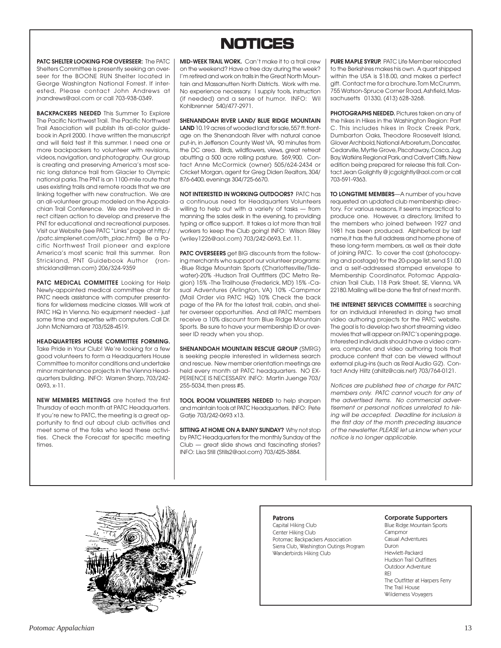## **NOTICES NOTICES**

**PATC SHELTER LOOKING FOR OVERSEER:** The PATC Shelters Committee is presently seeking an overseer for the BOONE RUN Shelter located in George Washington National Forrest. If interested, Please contact John Andrews at jnandrews@aol.com or call 703-938-0349.

**BACKPACKERS NEEDED** This Summer To Explore The Pacific Northwest Trail. The Pacific Northwest Trail Association will publish its all-color guidebook in April 2000. I have written the manuscript and will field test it this summer. I need one or more backpackers to volunteer with revisions. videos, navigation, and photography. Our group is creating and preserving America's most scenic long distance trail from Glacier to Olympic national parks. The PNT is an 1100-mile route that uses existing trails and remote roads that we are linking together with new construction. We are an all-volunteer group modeled on the Appalachian Trail Conference. We are involved in direct citizen action to develop and preserve the PNT for educational and recreational purposes. Visit our Website (see PATC "Links" page at http:/ /patc.simplenet.com/oth\_plac.html) Be a Pacific Northwest Trail pioneer and explore America's most scenic trail this summer. Ron Strickland, PNT Guidebook Author (ronstrickland@msn.com) 206/324-9359

**PATC MEDICAL COMMITTEE** Looking for Help Newly-appointed medical committee chair for PATC needs assistance with computer presentations for wilderness medicine classes. Will work at PATC HQ in Vienna. No equipment needed - just some time and expertise with computers. Call Dr. John McNamara at 703/528-4519.

**HEADQUARTERS HOUSE COMMITTEE FORMING.** Take Pride in Your Club! We're looking for a few good volunteers to form a Headquarters House Committee to monitor conditions and undertake minor maintenance projects in the Vienna Headquarters building. INFO: Warren Sharp, 703/242- 0693, x-11.

**NEW MEMBERS MEETINGS** are hosted the first Thursday of each month at PATC Headquarters. If you're new to PATC, the meeting is a great opportunity to find out about club activities and meet some of the folks who lead these activities. Check the Forecast for specific meeting times.

**MID-WEEK TRAIL WORK.** Can't make it to a trail crew on the weekend? Have a free day during the week? I'm retired and work on trails in the Great North Mountain and Massanutten North Districts. Work with me. No experience necessary. I supply tools, instruction (if needed) and a sense of humor. INFO: Wil Kohlbrenner 540/477-2971.

**SHENANDOAH RIVER LAND/ BLUE RIDGE MOUNTAIN LAND** 10.19 acres of wooded land for sale, 557 ft. frontage on the Shenandoah River with natural canoe put-in, in Jefferson County West VA, 90 minutes from the DC area. Birds, wildflowers, views, great retreat abutting a 500 acre rolling pasture, \$69,900. Contact Anne McCormick (owner) 505/624-2434 or Cricket Morgan, agent for Greg Diden Realtors, 304/ 876-6400, evenings 304/725-6670.

**NOT INTERESTED IN WORKING OUTDOORS?** PATC has a continuous need for Headquarters Volunteers willing to help out with a variety of tasks — from manning the sales desk in the evening, to providing typing or office support. It takes a lot more than trail workers to keep the Club going! INFO: Wilson Riley (wriley1226@aol.com) 703/242-0693, Ext. 11.

**PATC OVERSEERS** get BIG discounts from the following merchants who support our volunteer programs: -Blue Ridge Mountain Sports (Charlottesville/Tidewater)-20% -Hudson Trail Outfitters (DC Metro Region) 15% -The Trailhouse (Frederick, MD) 15% -Casual Adventures (Arlington, VA) 10% -Campmor (Mail Order via PATC HQ) 10% Check the back page of the PA for the latest trail, cabin, and shelter overseer opportunities. And all PATC members receive a 10% discount from Blue Ridge Mountain Sports. Be sure to have your membership ID or overseer ID ready when you shop.

**SHENANDOAH MOUNTAIN RESCUE GROUP** (SMRG) is seeking people interested in wilderness search and rescue. New member orientation meetings are held every month at PATC headquarters. NO EX-PERIENCE IS NECESSARY. INFO: Martin Juenge 703/ 255-5034, then press #5.

**TOOL ROOM VOLUNTEERS NEEDED** to help sharpen and maintain tools at PATC Headquarters. INFO: Pete Gatje 703/242-0693 x13.

**SITTING AT HOME ON A RAINY SUNDAY?** Why not stop by PATC Headquarters for the monthly Sunday at the Club — great slide shows and fascinating stories? INFO: Lisa Still (Stills2@aol.com) 703/425-3884.

**PURE MAPLE SYRUP.** PATC Life Member relocated to the Berkshires makes his own. A quart shipped within the USA is \$18.00, and makes a perfect gift. Contact me for a brochure. Tom McCrumm, 755 Watson-Spruce Corner Road, Ashfield, Massachusetts 01330, (413) 628-3268.

**PHOTOGRAPHS NEEDED.** Pictures taken on any of the hikes in Hikes in the Washington Region: Part C. This includes hikes in Rock Creek Park, Dumbarton Oaks, Theodore Roosevelt Island, Glover Archbold, National Arboretum, Doncaster, Cedarville, Myrtle Grove, Piscataway, Cosca, Jug Bay, Watkins Regional Park, and Calvert Cliffs. New edition being prepared for release this fall. Contact Jean Golightly @ jcgolghtly@aol.com or call 703-591-9363.

**TO LONGTIME MEMBERS**—A number of you have requested an updated club membership directory. For various reasons, it seems impractical to produce one. However, a directory, limited to the members who joined between 1927 and 1981 has been produced. Alphbetical by last name,it has the full address and home phone of these long-term members, as well as their date of joining PATC. To cover the cost (photocopying and postage) for the 20-page list, send \$1.00 and a self-addressed stamped envelope to Membership Coordinator, Potomac Appalachian Trail Club, 118 Park Street, SE, Vienna, VA 22180. Mailing will be done the first of next month.

**THE INTERNET SERVICES COMMITTEE** is searching for an individual interested in doing two small video authoring projects for the PATC website. The goal is to develop two short streaming video movies that will appear on PATC's opening page. Interested individuals should have a video camera, computer, and video authoring tools that produce content that can be viewed without external plug-ins (such as Real Audio G2). Contact Andy Hiltz (ahiltz@cais.net) 703/764-0121.

Notices are published free of charge for PATC members only. PATC cannot vouch for any of the advertised items. No commercial advertisement or personal notices unrelated to hiking will be accepted. Deadline for inclusion is the first day of the month preceding issuance of the newsletter. PLEASE let us know when your notice is no longer applicable.

### Patrons

Capital Hiking Club Center Hiking Club Potomac Backpackers Association Sierra Club, Washington Outings Program Wanderbirds Hiking Club

### Corporate Supporters

Blue Ridge Mountain Sports **Campmor** Casual Adventures Duron Hewlett-Packard Hudson Trail Outfitters Outdoor Adventure REI The Outfitter at Harpers Ferry The Trail House Wilderness Voyagers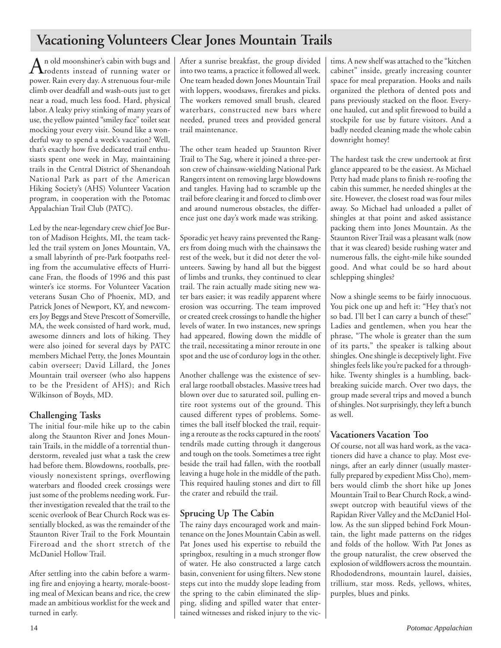## **Vacationing Volunteers Clear Jones Mountain Trails**

An old moonshiner's cabin with bugs and<br>
rodents instead of running water or power. Rain every day. A strenuous four-mile climb over deadfall and wash-outs just to get near a road, much less food. Hard, physical labor. A leaky privy stinking of many years of use, the yellow painted "smiley face" toilet seat mocking your every visit. Sound like a wonderful way to spend a week's vacation? Well, that's exactly how five dedicated trail enthusiasts spent one week in May, maintaining trails in the Central District of Shenandoah National Park as part of the American Hiking Society's (AHS) Volunteer Vacation program, in cooperation with the Potomac Appalachian Trail Club (PATC).

Led by the near-legendary crew chief Joe Burton of Madison Heights, MI, the team tackled the trail system on Jones Mountain, VA, a small labyrinth of pre-Park footpaths reeling from the accumulative effects of Hurricane Fran, the floods of 1996 and this past winter's ice storms. For Volunteer Vacation veterans Susan Cho of Phoenix, MD, and Patrick Jones of Newport, KY, and newcomers Joy Beggs and Steve Prescott of Somerville, MA, the week consisted of hard work, mud, awesome dinners and lots of hiking. They were also joined for several days by PATC members Michael Petty, the Jones Mountain cabin overseer; David Lillard, the Jones Mountain trail overseer (who also happens to be the President of AHS); and Rich Wilkinson of Boyds, MD.

## **Challenging Tasks**

The initial four-mile hike up to the cabin along the Staunton River and Jones Mountain Trails, in the middle of a torrential thunderstorm, revealed just what a task the crew had before them. Blowdowns, rootballs, previously nonexistent springs, overflowing waterbars and flooded creek crossings were just some of the problems needing work. Further investigation revealed that the trail to the scenic overlook of Bear Church Rock was essentially blocked, as was the remainder of the Staunton River Trail to the Fork Mountain Fireroad and the short stretch of the McDaniel Hollow Trail.

After settling into the cabin before a warming fire and enjoying a hearty, morale-boosting meal of Mexican beans and rice, the crew made an ambitious worklist for the week and turned in early.

After a sunrise breakfast, the group divided into two teams, a practice it followed all week. One team headed down Jones Mountain Trail with loppers, woodsaws, firerakes and picks. The workers removed small brush, cleared waterbars, constructed new bars where needed, pruned trees and provided general trail maintenance.

The other team headed up Staunton River Trail to The Sag, where it joined a three-person crew of chainsaw-wielding National Park Rangers intent on removing large blowdowns and tangles. Having had to scramble up the trail before clearing it and forced to climb over and around numerous obstacles, the difference just one day's work made was striking.

Sporadic yet heavy rains prevented the Rangers from doing much with the chainsaws the rest of the week, but it did not deter the volunteers. Sawing by hand all but the biggest of limbs and trunks, they continued to clear trail. The rain actually made siting new water bars easier; it was readily apparent where erosion was occurring. The team improved or created creek crossings to handle the higher levels of water. In two instances, new springs had appeared, flowing down the middle of the trail, necessitating a minor reroute in one spot and the use of corduroy logs in the other.

Another challenge was the existence of several large rootball obstacles. Massive trees had blown over due to saturated soil, pulling entire root systems out of the ground. This caused different types of problems. Sometimes the ball itself blocked the trail, requiring a reroute as the rocks captured in the roots' tendrils made cutting through it dangerous and tough on the tools. Sometimes a tree right beside the trail had fallen, with the rootball leaving a huge hole in the middle of the path. This required hauling stones and dirt to fill the crater and rebuild the trail.

## **Sprucing Up The Cabin**

The rainy days encouraged work and maintenance on the Jones Mountain Cabin as well. Pat Jones used his expertise to rebuild the springbox, resulting in a much stronger flow of water. He also constructed a large catch basin, convenient for using filters. New stone steps cut into the muddy slope leading from the spring to the cabin eliminated the slipping, sliding and spilled water that entertained witnesses and risked injury to the victims. A new shelf was attached to the "kitchen cabinet" inside, greatly increasing counter space for meal preparation. Hooks and nails organized the plethora of dented pots and pans previously stacked on the floor. Everyone hauled, cut and split firewood to build a stockpile for use by future visitors. And a badly needed cleaning made the whole cabin downright homey!

The hardest task the crew undertook at first glance appeared to be the easiest. As Michael Petty had made plans to finish re-roofing the cabin this summer, he needed shingles at the site. However, the closest road was four miles away. So Michael had unloaded a pallet of shingles at that point and asked assistance packing them into Jones Mountain. As the Staunton River Trail was a pleasant walk (now that it was cleared) beside rushing water and numerous falls, the eight-mile hike sounded good. And what could be so hard about schlepping shingles?

Now a shingle seems to be fairly innocuous. You pick one up and heft it: "Hey that's not so bad. I'll bet I can carry a bunch of these!" Ladies and gentlemen, when you hear the phrase, "The whole is greater than the sum of its parts," the speaker is talking about shingles. One shingle is deceptively light. Five shingles feels like you're packed for a throughhike. Twenty shingles is a humbling, backbreaking suicide march. Over two days, the group made several trips and moved a bunch of shingles. Not surprisingly, they left a bunch as well.

## **Vacationers Vacation Too**

Of course, not all was hard work, as the vacationers did have a chance to play. Most evenings, after an early dinner (usually masterfully prepared by expedient Miss Cho), members would climb the short hike up Jones Mountain Trail to Bear Church Rock, a windswept outcrop with beautiful views of the Rapidan River Valley and the McDaniel Hollow. As the sun slipped behind Fork Mountain, the light made patterns on the ridges and folds of the hollow. With Pat Jones as the group naturalist, the crew observed the explosion of wildflowers across the mountain. Rhododendrons, mountain laurel, daisies, trillium, star moss. Reds, yellows, whites, purples, blues and pinks.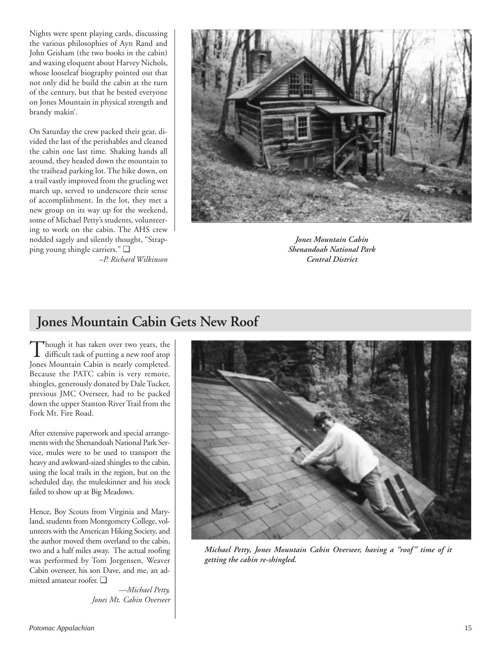Nights were spent playing cards, discussing the various philosophies of Ayn Rand and John Grisham (the two books in the cabin) and waxing eloquent about Harvey Nichols, whose looseleaf biography pointed out that not only did he build the cabin at the turn of the century, but that he bested everyone on Jones Mountain in physical strength and brandy makin'.

On Saturday the crew packed their gear, divided the last of the perishables and cleaned the cabin one last time. Shaking hands all around, they headed down the mountain to the traihead parking lot. The hike down, on a trail vastly improved from the grueling wet march up, served to underscore their sense of accomplishment. In the lot, they met a new group on its way up for the weekend, some of Michael Petty's students, volunteering to work on the cabin. The AHS crew nodded sagely and silently thought, "Strapping young shingle carriers." ❑

*–P. Richard Wilkinson*



*Jones Mountain Cabin Shenandoah National Park Central District*

## **Jones Mountain Cabin Gets New Roof**

Though it has taken over two years, the difficult task of putting a new roof atop Jones Mountain Cabin is nearly completed. Because the PATC cabin is very remote, shingles, generously donated by Dale Tucker, previous JMC Overseer, had to be packed down the upper Stanton River Trail from the Fork Mt. Fire Road.

After extensive paperwork and special arrangements with the Shenandoah National Park Service, mules were to be used to transport the heavy and awkward-sized shingles to the cabin, using the local trails in the region, but on the scheduled day, the muleskinner and his stock failed to show up at Big Meadows.

Hence, Boy Scouts from Virginia and Maryland, students from Montgomery College, volunteers with the American Hiking Society, and the author moved them overland to the cabin, two and a half miles away. The actual roofing was performed by Tom Jorgensen, Weaver Cabin overseer, his son Dave, and me, an admitted amateur roofer. ❑

> *—Michael Petty, Jones Mt. Cabin Overseer*



*Michael Petty, Jones Mountain Cabin Overseer, having a "roof" time of it getting the cabin re-shingled.*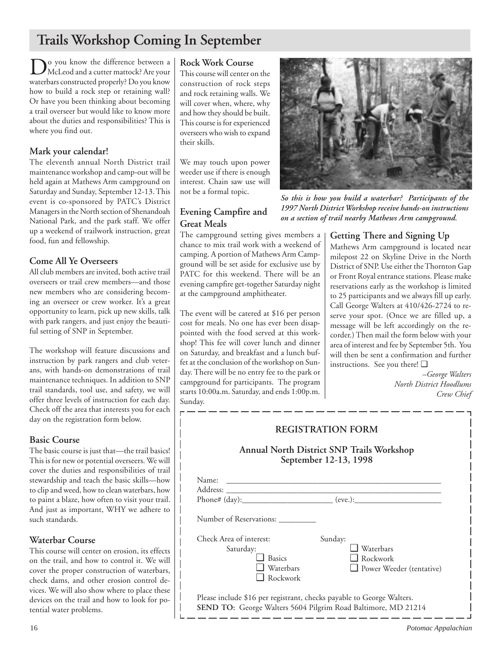## **Trails Workshop Coming In September**

Do you know the difference between a<br>McLeod and a cutter mattock? Are your waterbars constructed properly? Do you know how to build a rock step or retaining wall? Or have you been thinking about becoming a trail overseer but would like to know more about the duties and responsibilities? This is where you find out.

## **Mark your calendar!**

The eleventh annual North District trail maintenance workshop and camp-out will be held again at Mathews Arm campground on Saturday and Sunday, September 12-13. This event is co-sponsored by PATC's District Managers in the North section of Shenandoah National Park, and the park staff. We offer up a weekend of trailwork instruction, great food, fun and fellowship.

## **Come All Ye Overseers**

All club members are invited, both active trail overseers or trail crew members—and those new members who are considering becoming an overseer or crew worker. It's a great opportunity to learn, pick up new skills, talk with park rangers, and just enjoy the beautiful setting of SNP in September.

The workshop will feature discussions and instruction by park rangers and club veterans, with hands-on demonstrations of trail maintenance techniques. In addition to SNP trail standards, tool use, and safety, we will offer three levels of instruction for each day. Check off the area that interests you for each day on the registration form below.

## **Basic Course**

The basic course is just that—the trail basics! This is for new or potential overseers. We will cover the duties and responsibilities of trail stewardship and teach the basic skills—how to clip and weed, how to clean waterbars, how to paint a blaze, how often to visit your trail. And just as important, WHY we adhere to such standards.

## **Waterbar Course**

This course will center on erosion, its effects on the trail, and how to control it. We will cover the proper construction of waterbars, check dams, and other erosion control devices. We will also show where to place these devices on the trail and how to look for potential water problems.

## **Rock Work Course**

This course will center on the construction of rock steps and rock retaining walls. We will cover when, where, why and how they should be built. This course is for experienced overseers who wish to expand their skills.

We may touch upon power weeder use if there is enough interest. Chain saw use will not be a formal topic.

## **Evening Campfire and Great Meals**

The campground setting gives members a chance to mix trail work with a weekend of camping. A portion of Mathews Arm Campground will be set aside for exclusive use by PATC for this weekend. There will be an evening campfire get-together Saturday night at the campground amphitheater.

The event will be catered at \$16 per person cost for meals. No one has ever been disappointed with the food served at this workshop! This fee will cover lunch and dinner on Saturday, and breakfast and a lunch buffet at the conclusion of the workshop on Sunday. There will be no entry fee to the park or campground for participants. The program starts 10:00a.m. Saturday, and ends 1:00p.m. Sunday.



*So this is how you build a waterbar? Participants of the 1997 North District Workshop receive hands-on instructions on a section of trail nearby Mathews Arm campground.*

## **Getting There and Signing Up**

Mathews Arm campground is located near milepost 22 on Skyline Drive in the North District of SNP. Use either the Thornton Gap or Front Royal entrance stations. Please make reservations early as the workshop is limited to 25 participants and we always fill up early. Call George Walters at 410/426-2724 to reserve your spot. (Once we are filled up, a message will be left accordingly on the recorder.) Then mail the form below with your area of interest and fee by September 5th. You will then be sent a confirmation and further instructions. See you there! ❑

> *–George Walters North District Hoodlums Crew Chief*

| <b>REGISTRATION FORM</b><br>Annual North District SNP Trails Workshop<br>September 12-13, 1998                                         |                                                                            |  |  |
|----------------------------------------------------------------------------------------------------------------------------------------|----------------------------------------------------------------------------|--|--|
| Name:                                                                                                                                  |                                                                            |  |  |
| Phone# (day):______________________________ (eve.):_____________________________                                                       |                                                                            |  |  |
| Number of Reservations: __________                                                                                                     |                                                                            |  |  |
| Check Area of interest:<br>Saturday:<br><b>Basics</b><br>Waterbars<br>Rockwork                                                         | Sunday:<br>$\Box$ Waterbars<br>$\Box$ Rockwork<br>Power Weeder (tentative) |  |  |
| Please include \$16 per registrant, checks payable to George Walters.<br>SEND TO: George Walters 5604 Pilgrim Road Baltimore, MD 21214 |                                                                            |  |  |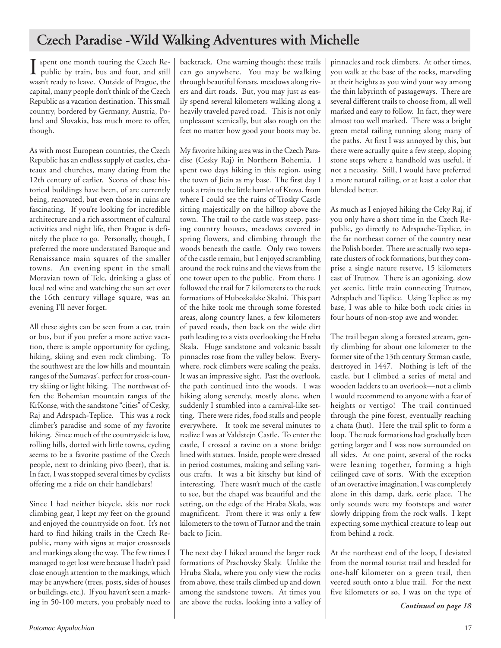## **Czech Paradise -Wild Walking Adventures with Michelle**

Spent one month touring the Czech Re-<br>public by train, bus and foot, and still public by train, bus and foot, and still wasn't ready to leave. Outside of Prague, the capital, many people don't think of the Czech Republic as a vacation destination. This small country, bordered by Germany, Austria, Poland and Slovakia, has much more to offer, though.

As with most European countries, the Czech Republic has an endless supply of castles, chateaux and churches, many dating from the 12th century of earlier. Scores of these historical buildings have been, of are currently being, renovated, but even those in ruins are fascinating. If you're looking for incredible architecture and a rich assortment of cultural activities and night life, then Prague is definitely the place to go. Personally, though, I preferred the more understated Baroque and Renaissance main squares of the smaller towns. An evening spent in the small Moravian town of Telc, drinking a glass of local red wine and watching the sun set over the 16th century village square, was an evening I'll never forget.

All these sights can be seen from a car, train or bus, but if you prefer a more active vacation, there is ample opportunity for cycling, hiking, skiing and even rock climbing. To the southwest are the low hills and mountain ranges of the Sumavas', perfect for cross-country skiing or light hiking. The northwest offers the Bohemian mountain ranges of the KrKonse, with the sandstone "cities" of Cesky, Raj and Adrspach-Teplice. This was a rock climber's paradise and some of my favorite hiking. Since much of the countryside is low, rolling hills, dotted with little towns, cycling seems to be a favorite pastime of the Czech people, next to drinking pivo (beer), that is. In fact, I was stopped several times by cyclists offering me a ride on their handlebars!

Since I had neither bicycle, skis nor rock climbing gear, I kept my feet on the ground and enjoyed the countryside on foot. It's not hard to find hiking trails in the Czech Republic, many with signs at major crossroads and markings along the way. The few times I managed to get lost were because I hadn't paid close enough attention to the markings, which may be anywhere (trees, posts, sides of houses or buildings, etc.). If you haven't seen a marking in 50-100 meters, you probably need to

backtrack. One warning though: these trails can go anywhere. You may be walking through beautiful forests, meadows along rivers and dirt roads. But, you may just as easily spend several kilometers walking along a heavily traveled paved road. This is not only unpleasant scenically, but also rough on the feet no matter how good your boots may be.

My favorite hiking area was in the Czech Paradise (Cesky Raj) in Northern Bohemia. I spent two days hiking in this region, using the town of Jicin as my base. The first day I took a train to the little hamlet of Ktova, from where I could see the ruins of Trosky Castle sitting majestically on the hilltop above the town. The trail to the castle was steep, passing country houses, meadows covered in spring flowers, and climbing through the woods beneath the castle. Only two towers of the castle remain, but I enjoyed scrambling around the rock ruins and the views from the one tower open to the public. From there, I followed the trail for 7 kilometers to the rock formations of Huboskalske Skalni. This part of the hike took me through some forested areas, along country lanes, a few kilometers of paved roads, then back on the wide dirt path leading to a vista overlooking the Hreba Skala. Huge sandstone and volcanic basalt pinnacles rose from the valley below. Everywhere, rock climbers were scaling the peaks. It was an impressive sight. Past the overlook, the path continued into the woods. I was hiking along serenely, mostly alone, when suddenly I stumbled into a carnival-like setting. There were rides, food stalls and people everywhere. It took me several minutes to realize I was at Valdstejn Castle. To enter the castle, I crossed a ravine on a stone bridge lined with statues. Inside, people were dressed in period costumes, making and selling various crafts. It was a bit kitschy but kind of interesting. There wasn't much of the castle to see, but the chapel was beautiful and the setting, on the edge of the Hraba Skala, was magnificent. From there it was only a few kilometers to the town of Turnor and the train back to Jicin.

The next day I hiked around the larger rock formations of Prachovsky Skaly. Unlike the Hruba Skala, where you only view the rocks from above, these trails climbed up and down among the sandstone towers. At times you are above the rocks, looking into a valley of pinnacles and rock climbers. At other times, you walk at the base of the rocks, marveling at their heights as you wind your way among the thin labyrinth of passageways. There are several different trails to choose from, all well marked and easy to follow. In fact, they were almost too well marked. There was a bright green metal railing running along many of the paths. At first I was annoyed by this, but there were actually quite a few steep, sloping stone steps where a handhold was useful, if not a necessity. Still, I would have preferred a more natural railing, or at least a color that blended better.

As much as I enjoyed hiking the Ceky Raj, if you only have a short time in the Czech Republic, go directly to Adrspache-Teplice, in the far northeast corner of the country near the Polish border. There are actually two separate clusters of rock formations, but they comprise a single nature reserve, 15 kilometers east of Trutnov. There is an agonizing, slow yet scenic, little train connecting Trutnov, Adrsplach and Teplice. Using Teplice as my base, I was able to hike both rock cities in four hours of non-stop awe and wonder.

The trail began along a forested stream, gently climbing for about one kilometer to the former site of the 13th century Strman castle, destroyed in 1447. Nothing is left of the castle, but I climbed a series of metal and wooden ladders to an overlook—not a climb I would recommend to anyone with a fear of heights or vertigo! The trail continued through the pine forest, eventually reaching a chata (hut). Here the trail split to form a loop. The rock formations had gradually been getting larger and I was now surrounded on all sides. At one point, several of the rocks were leaning together, forming a high ceilinged cave of sorts. With the exception of an overactive imagination, I was completely alone in this damp, dark, eerie place. The only sounds were my footsteps and water slowly dripping from the rock walls. I kept expecting some mythical creature to leap out from behind a rock.

At the northeast end of the loop, I deviated from the normal tourist trail and headed for one-half kilometer on a green trail, then veered south onto a blue trail. For the next five kilometers or so, I was on the type of

*Continued on page 18*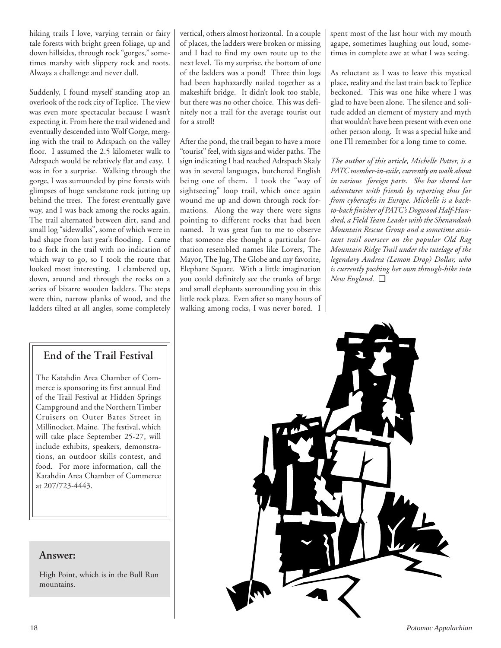hiking trails I love, varying terrain or fairy tale forests with bright green foliage, up and down hillsides, through rock "gorges," sometimes marshy with slippery rock and roots. Always a challenge and never dull.

Suddenly, I found myself standing atop an overlook of the rock city of Teplice. The view was even more spectacular because I wasn't expecting it. From here the trail widened and eventually descended into Wolf Gorge, merging with the trail to Adrspach on the valley floor. I assumed the 2.5 kilometer walk to Adrspach would be relatively flat and easy. I was in for a surprise. Walking through the gorge, I was surrounded by pine forests with glimpses of huge sandstone rock jutting up behind the trees. The forest eventually gave way, and I was back among the rocks again. The trail alternated between dirt, sand and small log "sidewalks", some of which were in bad shape from last year's flooding. I came to a fork in the trail with no indication of which way to go, so I took the route that looked most interesting. I clambered up, down, around and through the rocks on a series of bizarre wooden ladders. The steps were thin, narrow planks of wood, and the ladders tilted at all angles, some completely

## **End of the Trail Festival**

The Katahdin Area Chamber of Commerce is sponsoring its first annual End of the Trail Festival at Hidden Springs Campground and the Northern Timber Cruisers on Outer Bates Street in Millinocket, Maine. The festival, which will take place September 25-27, will include exhibits, speakers, demonstrations, an outdoor skills contest, and food. For more information, call the Katahdin Area Chamber of Commerce at 207/723-4443.

## **Answer:**

High Point, which is in the Bull Run mountains.

vertical, others almost horizontal. In a couple of places, the ladders were broken or missing and I had to find my own route up to the next level. To my surprise, the bottom of one of the ladders was a pond! Three thin logs had been haphazardly nailed together as a makeshift bridge. It didn't look too stable, but there was no other choice. This was definitely not a trail for the average tourist out for a stroll!

After the pond, the trail began to have a more "tourist" feel, with signs and wider paths. The sign indicating I had reached Adrspach Skaly was in several languages, butchered English being one of them. I took the "way of sightseeing" loop trail, which once again wound me up and down through rock formations. Along the way there were signs pointing to different rocks that had been named. It was great fun to me to observe that someone else thought a particular formation resembled names like Lovers, The Mayor, The Jug, The Globe and my favorite, Elephant Square. With a little imagination you could definitely see the trunks of large and small elephants surrounding you in this little rock plaza. Even after so many hours of walking among rocks, I was never bored. I spent most of the last hour with my mouth agape, sometimes laughing out loud, sometimes in complete awe at what I was seeing.

As reluctant as I was to leave this mystical place, reality and the last train back to Teplice beckoned. This was one hike where I was glad to have been alone. The silence and solitude added an element of mystery and myth that wouldn't have been present with even one other person along. It was a special hike and one I'll remember for a long time to come.

*The author of this article, Michelle Potter, is a PATC member-in-exile, currently on walk about in various foreign parts. She has shared her adventures with friends by reporting thus far from cybercafes in Europe. Michelle is a backto-back finisher of PATC's Dogwood Half-Hundred, a Field Team Leader with the Shenandaoh Mountain Rescue Group and a sometime assistant trail overseer on the popular Old Rag Mountain Ridge Trail under the tutelage of the legendary Andrea (Lemon Drop) Dollar, who is currently pushing her own through-hike into New England.* ❑

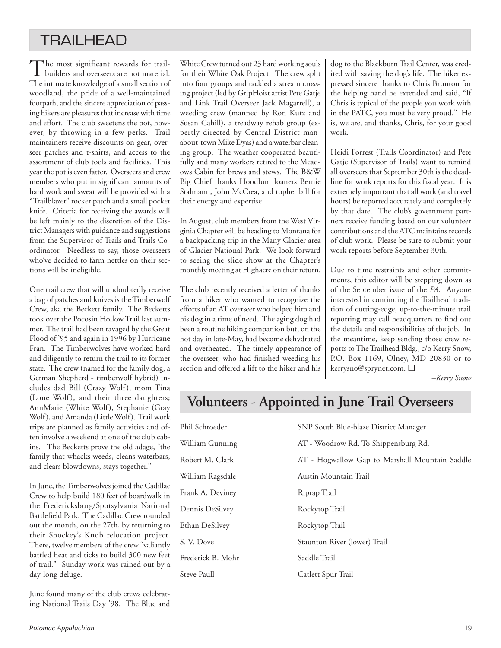## **TRAILHEAD**

The most significant rewards for trail-<br>builders and overseers are not material. The intimate knowledge of a small section of woodland, the pride of a well-maintained footpath, and the sincere appreciation of passing hikers are pleasures that increase with time and effort. The club sweetens the pot, however, by throwing in a few perks. Trail maintainers receive discounts on gear, overseer patches and t-shirts, and access to the assortment of club tools and facilities. This year the pot is even fatter. Overseers and crew members who put in significant amounts of hard work and sweat will be provided with a "Trailblazer" rocker patch and a small pocket knife. Criteria for receiving the awards will be left mainly to the discretion of the District Managers with guidance and suggestions from the Supervisor of Trails and Trails Coordinator. Needless to say, those overseers who've decided to farm nettles on their sections will be ineligible.

One trail crew that will undoubtedly receive a bag of patches and knives is the Timberwolf Crew, aka the Beckett family. The Becketts took over the Pocosin Hollow Trail last summer. The trail had been ravaged by the Great Flood of '95 and again in 1996 by Hurricane Fran. The Timberwolves have worked hard and diligently to return the trail to its former state. The crew (named for the family dog, a German Shepherd - timberwolf hybrid) includes dad Bill (Crazy Wolf), mom Tina (Lone Wolf), and their three daughters; AnnMarie (White Wolf), Stephanie (Gray Wolf), and Amanda (Little Wolf). Trail work trips are planned as family activities and often involve a weekend at one of the club cabins. The Becketts prove the old adage, "the family that whacks weeds, cleans waterbars, and clears blowdowns, stays together."

In June, the Timberwolves joined the Cadillac Crew to help build 180 feet of boardwalk in the Fredericksburg/Spotsylvania National Battlefield Park. The Cadillac Crew rounded out the month, on the 27th, by returning to their Shockey's Knob relocation project. There, twelve members of the crew "valiantly battled heat and ticks to build 300 new feet of trail." Sunday work was rained out by a day-long deluge.

June found many of the club crews celebrating National Trails Day '98. The Blue and

White Crew turned out 23 hard working souls for their White Oak Project. The crew split into four groups and tackled a stream crossing project (led by GripHoist artist Pete Gatje and Link Trail Overseer Jack Magarrell), a weeding crew (manned by Ron Kutz and Susan Cahill), a treadway rehab group (expertly directed by Central District manabout-town Mike Dyas) and a waterbar cleaning group. The weather cooperated beautifully and many workers retired to the Meadows Cabin for brews and stews. The B&W Big Chief thanks Hoodlum loaners Bernie Stalmann, John McCrea, and topher bill for their energy and expertise.

In August, club members from the West Virginia Chapter will be heading to Montana for a backpacking trip in the Many Glacier area of Glacier National Park. We look forward to seeing the slide show at the Chapter's monthly meeting at Highacre on their return.

The club recently received a letter of thanks from a hiker who wanted to recognize the efforts of an AT overseer who helped him and his dog in a time of need. The aging dog had been a routine hiking companion but, on the hot day in late-May, had become dehydrated and overheated. The timely appearance of the overseer, who had finished weeding his section and offered a lift to the hiker and his dog to the Blackburn Trail Center, was credited with saving the dog's life. The hiker expressed sincere thanks to Chris Brunton for the helping hand he extended and said, "If Chris is typical of the people you work with in the PATC, you must be very proud." He is, we are, and thanks, Chris, for your good work.

Heidi Forrest (Trails Coordinator) and Pete Gatje (Supervisor of Trails) want to remind all overseers that September 30th is the deadline for work reports for this fiscal year. It is extremely important that all work (and travel hours) be reported accurately and completely by that date. The club's government partners receive funding based on our volunteer contributions and the ATC maintains records of club work. Please be sure to submit your work reports before September 30th.

Due to time restraints and other commitments, this editor will be stepping down as of the September issue of the *PA*. Anyone interested in continuing the Trailhead tradition of cutting-edge, up-to-the-minute trail reporting may call headquarters to find out the details and responsibilities of the job. In the meantime, keep sending those crew reports to The Trailhead Bldg., c/o Kerry Snow, P.O. Box 1169, Olney, MD 20830 or to kerrysno@sprynet.com. ❑

*–Kerry Snow*

## **Volunteers - Appointed in June Trail Overseers**

| Phil Schroeder    | SNP South Blue-blaze District Manager          |
|-------------------|------------------------------------------------|
| William Gunning   | AT - Woodrow Rd. To Shippensburg Rd.           |
| Robert M. Clark   | AT - Hogwallow Gap to Marshall Mountain Saddle |
| William Ragsdale  | Austin Mountain Trail                          |
| Frank A. Deviney  | Riprap Trail                                   |
| Dennis DeSilvey   | Rockytop Trail                                 |
| Ethan DeSilvey    | Rockytop Trail                                 |
| S. V. Dove        | Staunton River (lower) Trail                   |
| Frederick B. Mohr | Saddle Trail                                   |
| Steve Paull       | Catlett Spur Trail                             |
|                   |                                                |